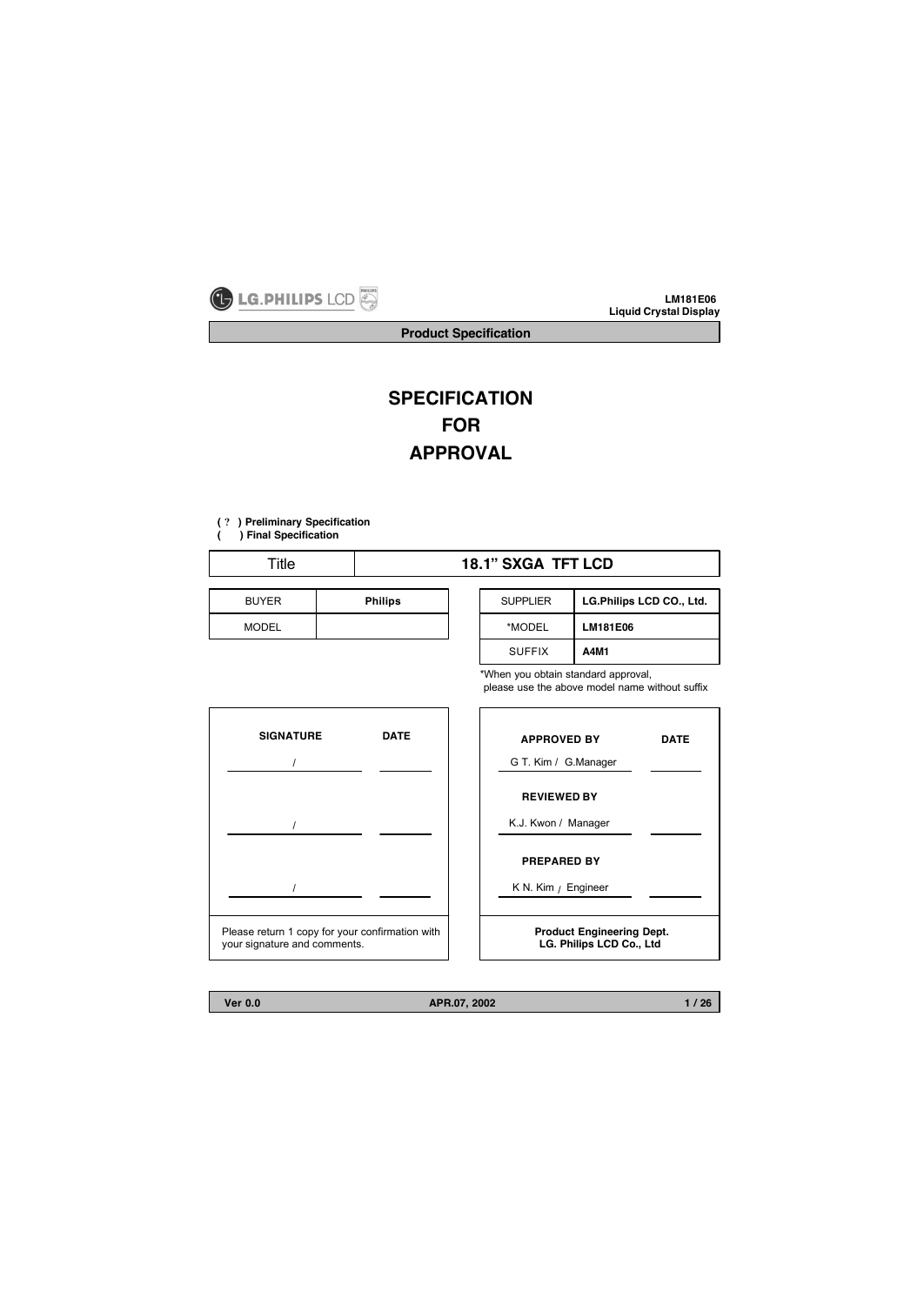

**Product Specification**

# **SPECIFICATION FOR APPROVAL**

- **(** ? **) Preliminary Specification**
- **( ) Final Specification**

| Title        |                | <b>18.1" SXGA TFT LCD</b> |              |
|--------------|----------------|---------------------------|--------------|
| <b>BUYER</b> | <b>Philips</b> | <b>SUPPLIER</b>           | LG.Ph        |
| <b>MODEL</b> |                | *MODEL                    | <b>LM181</b> |

| <b>SUPPLIER</b> | LG.Philips LCD CO., Ltd. |
|-----------------|--------------------------|
| *MODEL          | LM181E06                 |
| <b>SUFFIX</b>   | A4M1                     |

\*When you obtain standard approval,

please use the above model name without suffix



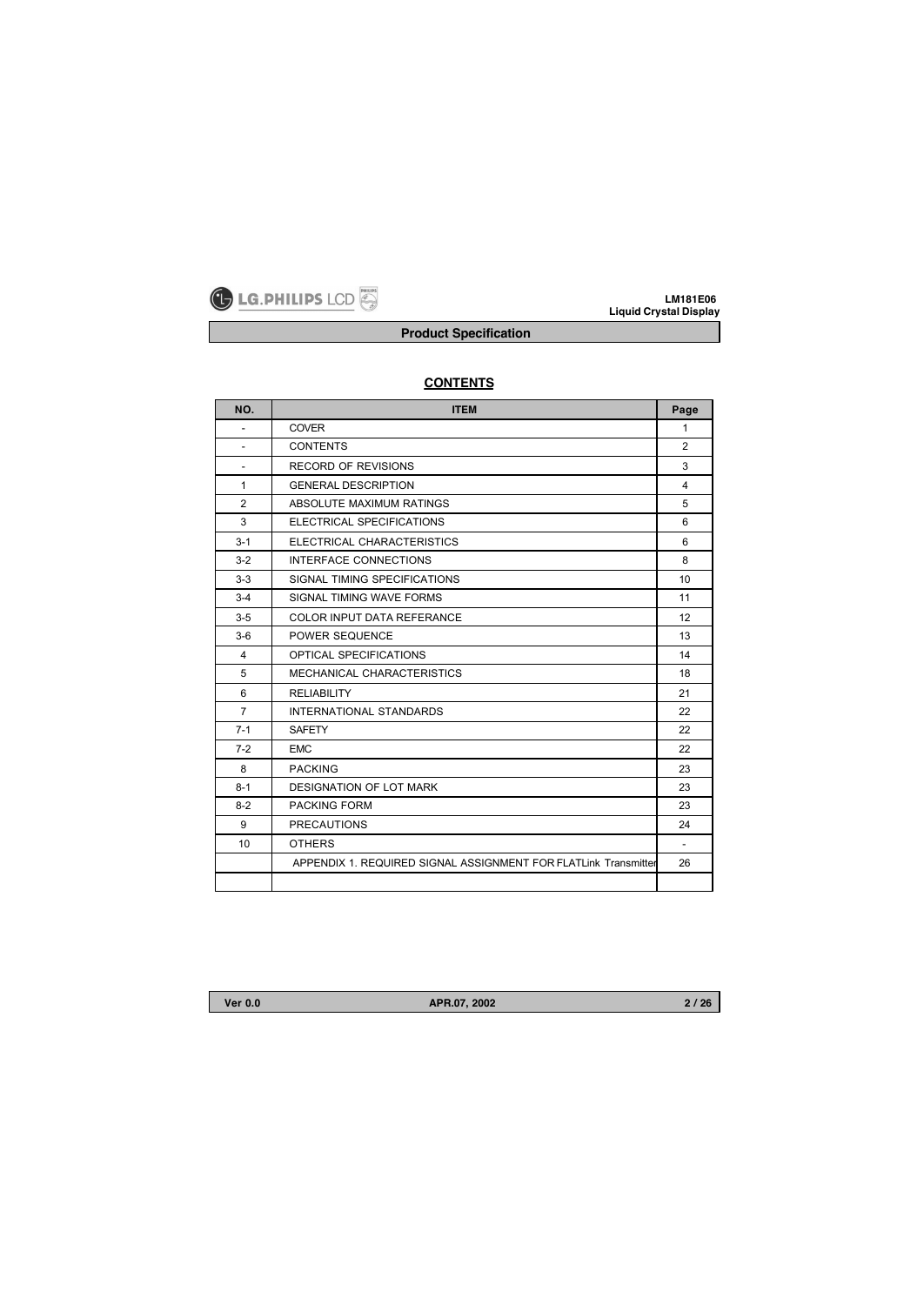

**Product Specification**

| NO.                      | <b>ITEM</b>                                                     | Page           |
|--------------------------|-----------------------------------------------------------------|----------------|
| $\blacksquare$           | <b>COVER</b>                                                    | $\mathbf{1}$   |
| $\overline{\phantom{a}}$ | <b>CONTENTS</b>                                                 | $\overline{2}$ |
| $\overline{\phantom{a}}$ | <b>RECORD OF REVISIONS</b>                                      | 3              |
| $\mathbf{1}$             | <b>GENERAL DESCRIPTION</b>                                      | $\overline{4}$ |
| $\overline{2}$           | ABSOLUTE MAXIMUM RATINGS                                        | 5              |
| 3                        | ELECTRICAL SPECIFICATIONS                                       | 6              |
| $3 - 1$                  | ELECTRICAL CHARACTERISTICS                                      | 6              |
| $3-2$                    | <b>INTERFACE CONNECTIONS</b>                                    | 8              |
| $3-3$                    | SIGNAL TIMING SPECIFICATIONS                                    | 10             |
| $3 - 4$                  | SIGNAL TIMING WAVE FORMS                                        | 11             |
| $3-5$                    | <b>COLOR INPUT DATA REFERANCE</b>                               | 12             |
| $3-6$                    | POWER SEQUENCE                                                  | 13             |
| $\overline{4}$           | <b>OPTICAL SPECIFICATIONS</b>                                   | 14             |
| 5                        | MECHANICAL CHARACTERISTICS                                      | 18             |
| 6                        | <b>RELIABILITY</b>                                              | 21             |
| $\overline{7}$           | <b>INTERNATIONAL STANDARDS</b>                                  | 22             |
| $7 - 1$                  | <b>SAFETY</b>                                                   | 22             |
| $7-2$                    | <b>EMC</b>                                                      | 22             |
| 8                        | <b>PACKING</b>                                                  | 23             |
| $8 - 1$                  | <b>DESIGNATION OF LOT MARK</b>                                  | 23             |
| $8-2$                    | <b>PACKING FORM</b>                                             | 23             |
| 9                        | <b>PRECAUTIONS</b>                                              | 24             |
| 10                       | <b>OTHERS</b>                                                   | $\blacksquare$ |
|                          | APPENDIX 1. REQUIRED SIGNAL ASSIGNMENT FOR FLATLINK Transmitter | 26             |
|                          |                                                                 |                |

# **CONTENTS**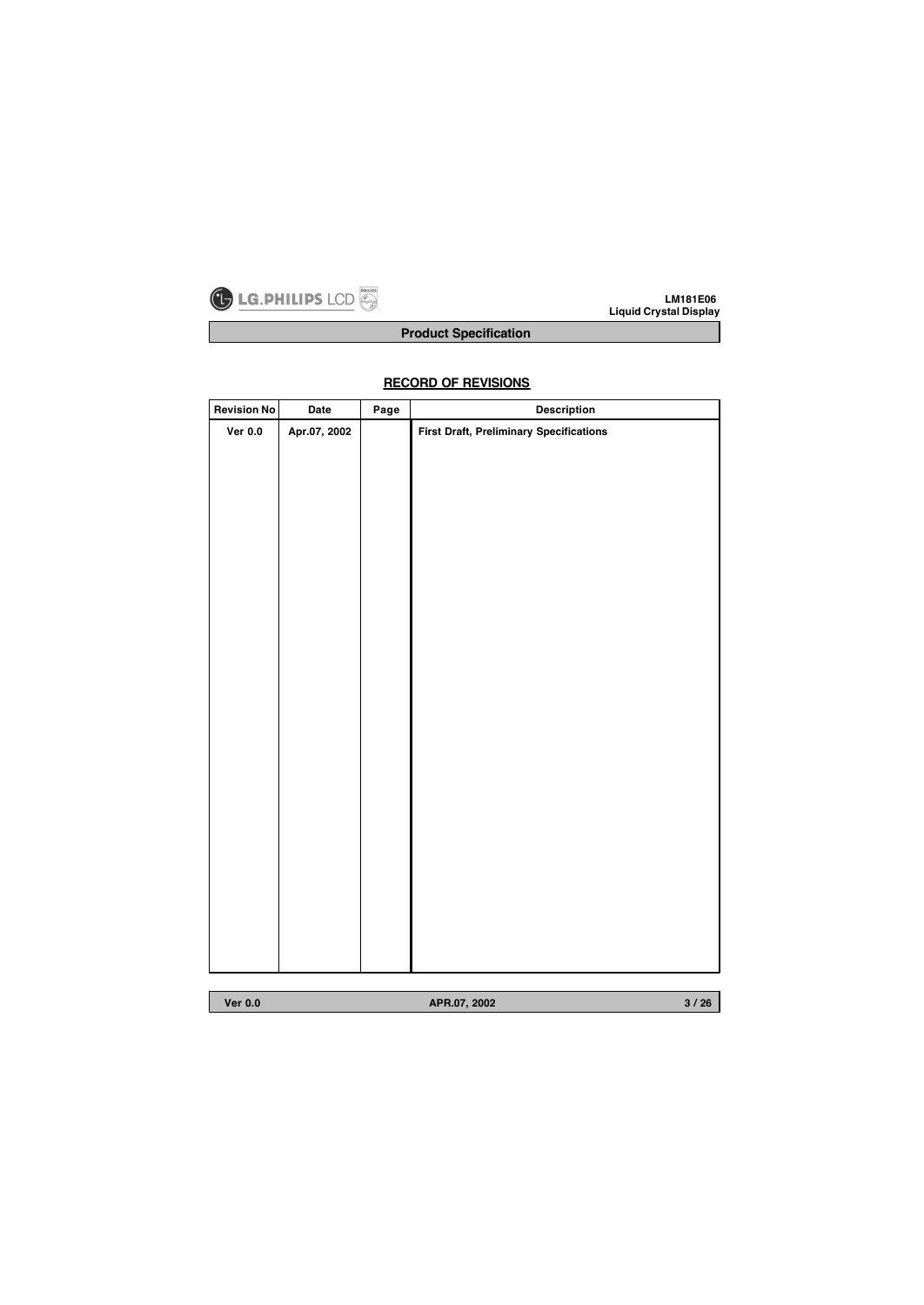

# **Product Specification**

# **Revision No Date Page Description Ver 0.0 Apr.07, 2002 First Draft, Preliminary Specifications**

# **RECORD OF REVISIONS**

**Ver 0.0 APR.07, 2002**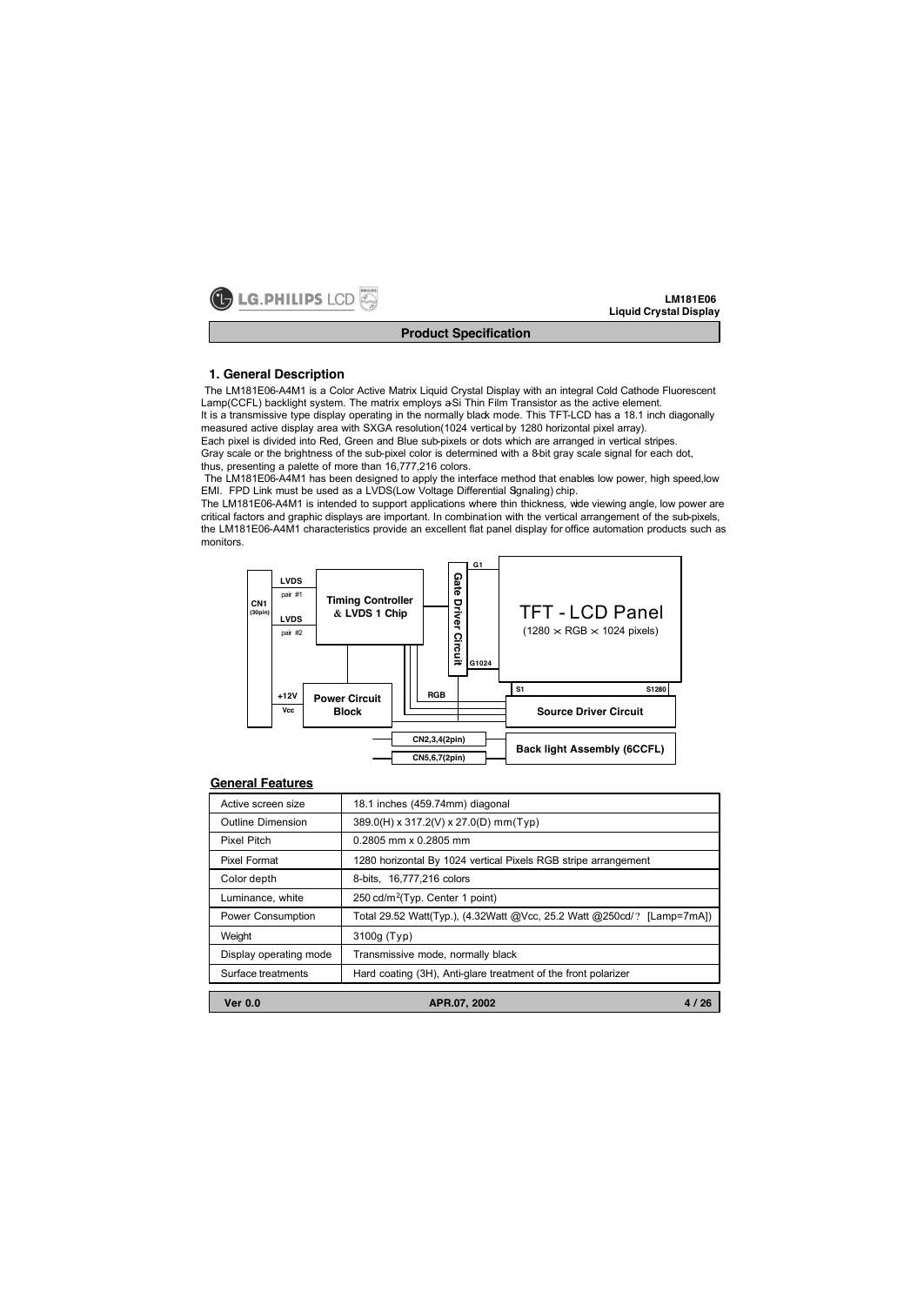

## **1. General Description**

The LM181E06-A4M1 is a Color Active Matrix Liquid Crystal Display with an integral Cold Cathode Fluorescent Lamp(CCFL) backlight system. The matrix employs a-Si Thin Film Transistor as the active element. It is a transmissive type display operating in the normally black mode. This TFT-LCD has a 18.1 inch diagonally

measured active display area with SXGA resolution(1024 vertical by 1280 horizontal pixel array). Each pixel is divided into Red, Green and Blue sub-pixels or dots which are arranged in vertical stripes.

Gray scale or the brightness of the sub-pixel color is determined with a 8-bit gray scale signal for each dot, thus, presenting a palette of more than 16,777,216 colors.

The LM181E06-A4M1 has been designed to apply the interface method that enables low power, high speed,low EMI. FPD Link must be used as a LVDS(Low Voltage Differential Sgnaling) chip.

The LM181E06-A4M1 is intended to support applications where thin thickness, wide viewing angle, low power are critical factors and graphic displays are important. In combination with the vertical arrangement of the sub-pixels, the LM181E06-A4M1 characteristics provide an excellent flat panel display for office automation products such as monitors.



#### **General Features**

| Active screen size     | 18.1 inches (459.74mm) diagonal                                        |
|------------------------|------------------------------------------------------------------------|
| Outline Dimension      | 389.0(H) x 317.2(V) x 27.0(D) mm(Typ)                                  |
| <b>Pixel Pitch</b>     | 0.2805 mm x 0.2805 mm                                                  |
| Pixel Format           | 1280 horizontal By 1024 vertical Pixels RGB stripe arrangement         |
| Color depth            | 8-bits, 16,777,216 colors                                              |
| Luminance, white       | 250 cd/m <sup>2</sup> (Typ. Center 1 point)                            |
| Power Consumption      | Total 29.52 Watt(Typ.), (4.32Watt @Vcc, 25.2 Watt @250cd/? [Lamp=7mA]) |
| Weight                 | 3100g (Typ)                                                            |
| Display operating mode | Transmissive mode, normally black                                      |
| Surface treatments     | Hard coating (3H), Anti-glare treatment of the front polarizer         |
| <b>Ver 0.0</b>         | APR.07, 2002<br>4/26                                                   |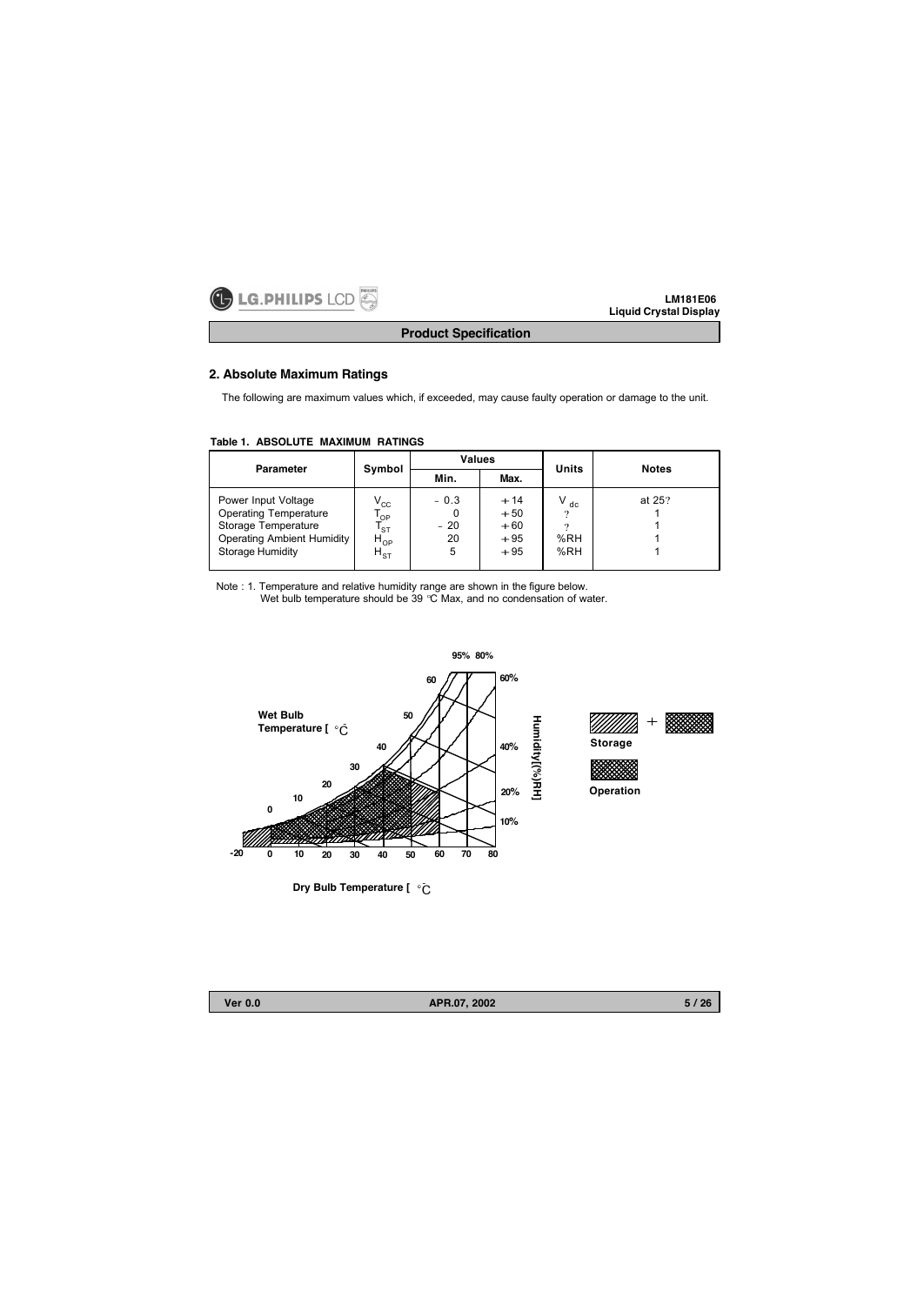

**Product Specification**

# **2. Absolute Maximum Ratings**

The following are maximum values which, if exceeded, may cause faulty operation or damage to the unit.

| Table 1. ABSOLUTE MAXIMUM RATINGS |  |  |  |
|-----------------------------------|--|--|--|
|-----------------------------------|--|--|--|

| <b>Parameter</b>                                                                                                                           | Symbol                                                                                     | Values                     |                                           | Units                           | <b>Notes</b> |
|--------------------------------------------------------------------------------------------------------------------------------------------|--------------------------------------------------------------------------------------------|----------------------------|-------------------------------------------|---------------------------------|--------------|
|                                                                                                                                            |                                                                                            | Min.                       | Max.                                      |                                 |              |
| Power Input Voltage<br><b>Operating Temperature</b><br>Storage Temperature<br><b>Operating Ambient Humidity</b><br><b>Storage Humidity</b> | $\mathsf{V}_{\mathrm{cc}}$<br>' OP<br>$\mathsf{I}_{\text{ST}}$<br>$H_{OP}$<br>$H_{\rm ST}$ | $-0.3$<br>$-20$<br>20<br>5 | $+14$<br>$+50$<br>$+60$<br>$+95$<br>$+95$ | V<br>dc<br>?<br>9<br>%RH<br>%RH | at 25?       |

Note : 1. Temperature and relative humidity range are shown in the figure below. Wet bulb temperature should be 39 °C Max, and no condensation of water.



**Dry Bulb Temperature [**  $\degree$ **C** 

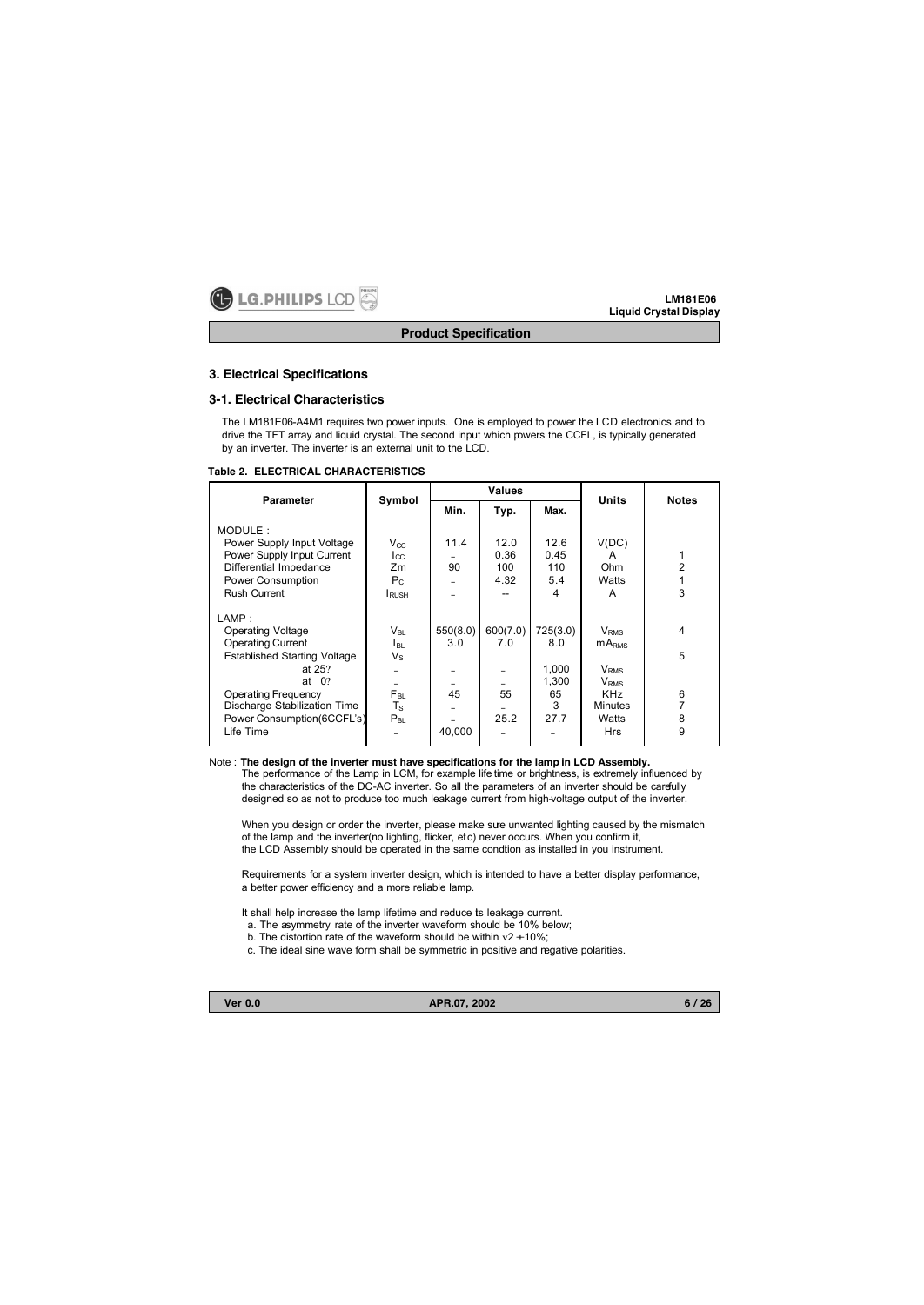

#### **3. Electrical Specifications**

## **3-1. Electrical Characteristics**

The LM181E06-A4M1 requires two power inputs. One is employed to power the LCD electronics and to drive the TFT array and liquid crystal. The second input which powers the CCFL, is typically generated by an inverter. The inverter is an external unit to the LCD.

#### **Table 2. ELECTRICAL CHARACTERISTICS**

| <b>Parameter</b>                    | Symbol          |          | Values   |          | <b>Units</b>            | <b>Notes</b> |
|-------------------------------------|-----------------|----------|----------|----------|-------------------------|--------------|
|                                     |                 | Min.     | Typ.     | Max.     |                         |              |
| MODULE:                             |                 |          |          |          |                         |              |
| Power Supply Input Voltage          | $V_{CC}$        | 11.4     | 12.0     | 12.6     | V(DC)                   |              |
| Power Supply Input Current          | $I_{CC}$        |          | 0.36     | 0.45     | A                       |              |
| Differential Impedance              | Zm              | 90       | 100      | 110      | Ohm                     | 2            |
| Power Consumption                   | $P_{C}$         |          | 4.32     | 5.4      | Watts                   |              |
| Rush Current                        | <b>L</b> RUSH   |          |          | 4        | A                       | 3            |
| LAMP:                               |                 |          |          |          |                         |              |
| <b>Operating Voltage</b>            | V <sub>BI</sub> | 550(8.0) | 600(7.0) | 725(3.0) | <b>V</b> <sub>RMS</sub> | 4            |
| <b>Operating Current</b>            | l BL            | 3.0      | 7.0      | 8.0      | mA <sub>RMS</sub>       |              |
| <b>Established Starting Voltage</b> | $V_{\rm S}$     |          |          |          |                         | 5            |
| at $25$ ?                           |                 |          |          | 1,000    | <b>V</b> <sub>RMS</sub> |              |
| 0 <sup>2</sup><br>at                |                 |          |          | 1.300    | <b>V</b> <sub>RMS</sub> |              |
| Operating Frequency                 | Fвг             | 45       | 55       | 65       | <b>KHz</b>              | 6            |
| Discharge Stabilization Time        | $T_{\rm S}$     |          |          | 3        | <b>Minutes</b>          |              |
| Power Consumption (6CCFL's)         | $P_{BL}$        |          | 25.2     | 27.7     | Watts                   | 8            |
| Life Time                           |                 | 40,000   |          |          | Hrs                     | 9            |

# Note : **The design of the inverter must have specifications for the lamp in LCD Assembly.**

The performance of the Lamp in LCM, for example life time or brightness, is extremely influenced by the characteristics of the DC-AC inverter. So all the parameters of an inverter should be carefully designed so as not to produce too much leakage current from high-voltage output of the inverter.

When you design or order the inverter, please make sure unwanted lighting caused by the mismatch of the lamp and the inverter(no lighting, flicker, etc) never occurs. When you confirm it, the LCD Assembly should be operated in the same condtion as installed in you instrument.

Requirements for a system inverter design, which is intended to have a better display performance, a better power efficiency and a more reliable lamp.

- It shall help increase the lamp lifetime and reduce ts leakage current.
- a. The asymmetry rate of the inverter waveform should be 10% below;
- b. The distortion rate of the waveform should be within  $v2 \pm 10\%$ ;
- c. The ideal sine wave form shall be symmetric in positive and negative polarities.

**Ver 0.0 APR.07, 2002**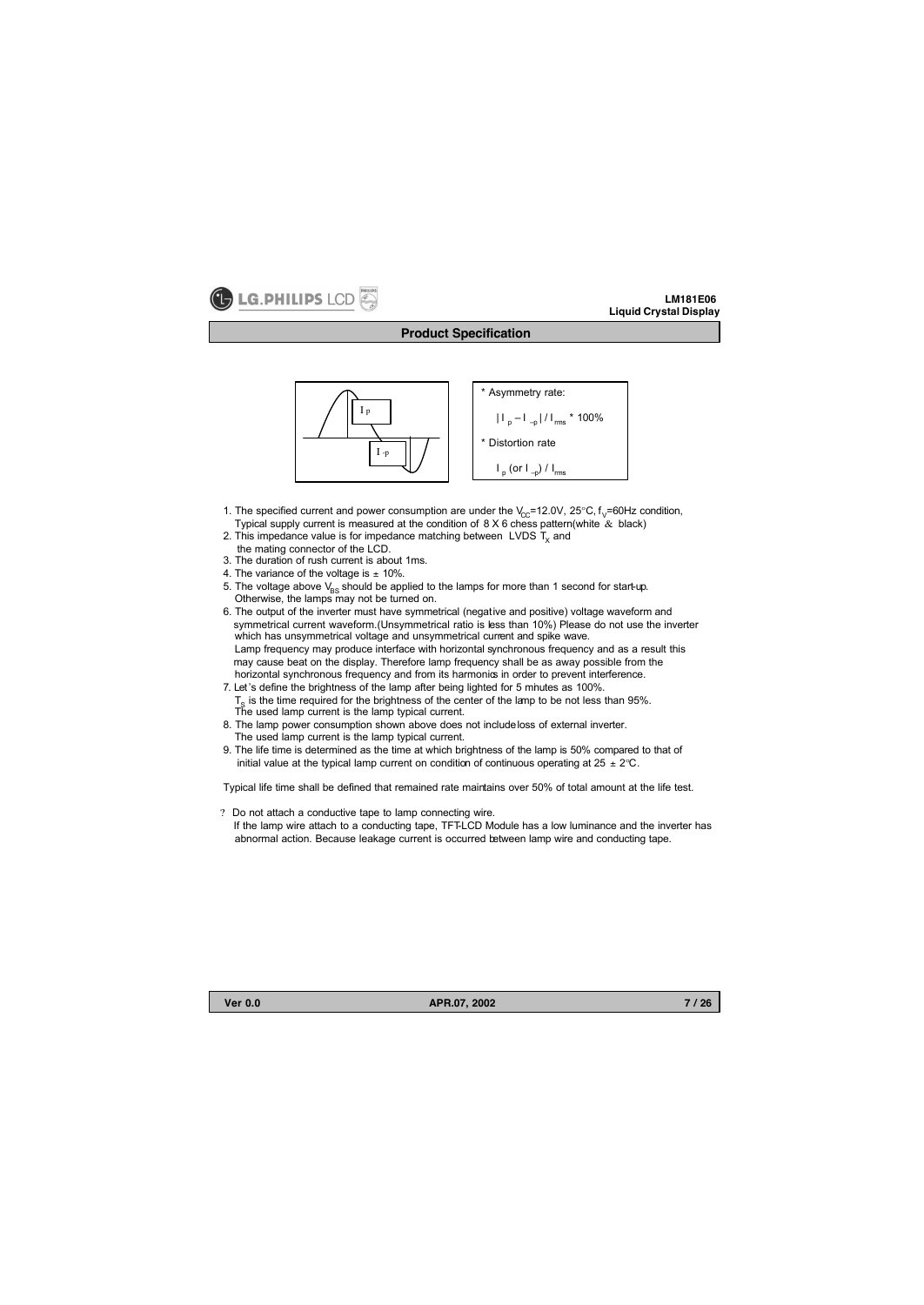

## **Product Specification**



- 1. The specified current and power consumption are under the  $V_{C}$ =12.0V, 25°C,  $f_v$ =60Hz condition, Typical supply current is measured at the condition of  $8 \times 6$  chess pattern(white  $\&$  black)
- 2. This impedance value is for impedance matching between LVDS  $T<sub>x</sub>$  and
- the mating connector of the LCD.
- 3. The duration of rush current is about 1ms.
- 4. The variance of the voltage is  $\pm$  10%.
- 5. The voltage above  $V_{BS}$  should be applied to the lamps for more than 1 second for start-up. Otherwise, the lamps may not be turned on.
- 6. The output of the inverter must have symmetrical (negative and positive) voltage waveform and symmetrical current waveform.(Unsymmetrical ratio is less than 10%) Please do not use the inverter which has unsymmetrical voltage and unsymmetrical current and spike wave. Lamp frequency may produce interface with horizontal synchronous frequency and as a result this may cause beat on the display. Therefore lamp frequency shall be as away possible from the horizontal synchronous frequency and from its harmonics in order to prevent interference.
- 7. Let 's define the brightness of the lamp after being lighted for 5 minutes as 100%.  $T<sub>s</sub>$  is the time required for the brightness of the center of the lamp to be not less than 95%. The used lamp current is the lamp typical current.
- 8. The lamp power consumption shown above does not includeloss of external inverter. The used lamp current is the lamp typical current.
- 9. The life time is determined as the time at which brightness of the lamp is 50% compared to that of initial value at the typical lamp current on condition of continuous operating at  $25 \pm 2^{\circ}$ C.

Typical life time shall be defined that remained rate maintains over 50% of total amount at the life test.

? Do not attach a conductive tape to lamp connecting wire. If the lamp wire attach to a conducting tape, TFT-LCD Module has a low luminance and the inverter has abnormal action. Because leakage current is occurred between lamp wire and conducting tape.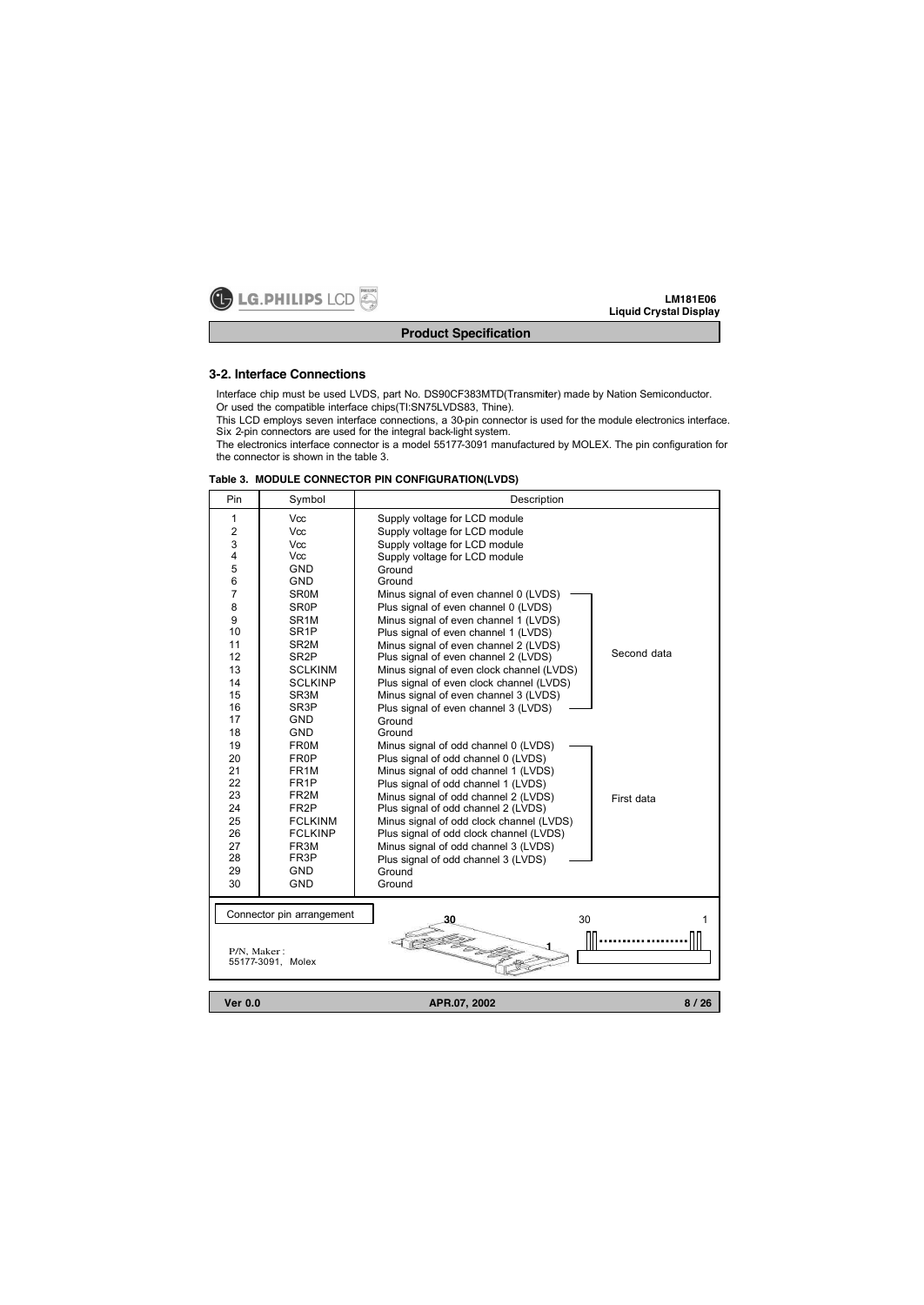

# **Product Specification**

## **3-2. Interface Connections**

Interface chip must be used LVDS, part No. DS90CF383MTD(Transmiter) made by Nation Semiconductor. Or used the compatible interface chips(TI:SN75LVDS83, Thine).

This LCD employs seven interface connections, a 30-pin connector is used for the module electronics interface. Six 2-pin connectors are used for the integral back-light system.

The electronics interface connector is a model 55177-3091 manufactured by MOLEX. The pin configuration for the connector is shown in the table 3.

| Pin            | Symbol                                 | Description                                                                 |             |
|----------------|----------------------------------------|-----------------------------------------------------------------------------|-------------|
| 1              | Vcc                                    | Supply voltage for LCD module                                               |             |
| $\overline{2}$ | Vcc                                    | Supply voltage for LCD module                                               |             |
| 3              | <b>Vcc</b>                             | Supply voltage for LCD module                                               |             |
| 4              | Vcc                                    | Supply voltage for LCD module                                               |             |
| 5              | <b>GND</b>                             | Ground                                                                      |             |
| 6              | <b>GND</b>                             | Ground                                                                      |             |
| $\overline{7}$ | <b>SR0M</b>                            | Minus signal of even channel 0 (LVDS)                                       |             |
| 8              | <b>SR0P</b>                            | Plus signal of even channel 0 (LVDS)                                        |             |
| 9              | SR <sub>1M</sub>                       | Minus signal of even channel 1 (LVDS)                                       |             |
| 10             | SR <sub>1</sub> P                      | Plus signal of even channel 1 (LVDS)                                        |             |
| 11             | SR <sub>2M</sub>                       | Minus signal of even channel 2 (LVDS)                                       | Second data |
| 12             | SR <sub>2</sub> P                      | Plus signal of even channel 2 (LVDS)                                        |             |
| 13             | <b>SCLKINM</b>                         | Minus signal of even clock channel (LVDS)                                   |             |
| 14             | <b>SCLKINP</b>                         | Plus signal of even clock channel (LVDS)                                    |             |
| 15             | SR <sub>3</sub> M                      | Minus signal of even channel 3 (LVDS)                                       |             |
| 16             | SR <sub>3</sub> P                      | Plus signal of even channel 3 (LVDS)                                        |             |
| 17             | <b>GND</b>                             | Ground                                                                      |             |
| 18             | <b>GND</b>                             | Ground                                                                      |             |
| 19             | <b>FR0M</b>                            | Minus signal of odd channel 0 (LVDS)                                        |             |
| 20             | FR0P                                   | Plus signal of odd channel 0 (LVDS)                                         |             |
| 21<br>22       | FR <sub>1</sub> M<br>FR <sub>1</sub> P | Minus signal of odd channel 1 (LVDS)                                        |             |
| 23             | FR <sub>2M</sub>                       | Plus signal of odd channel 1 (LVDS)                                         |             |
| 24             | FR <sub>2</sub> P                      | Minus signal of odd channel 2 (LVDS)<br>Plus signal of odd channel 2 (LVDS) | First data  |
| 25             | <b>FCLKINM</b>                         | Minus signal of odd clock channel (LVDS)                                    |             |
| 26             | <b>FCLKINP</b>                         | Plus signal of odd clock channel (LVDS)                                     |             |
| 27             | FR3M                                   | Minus signal of odd channel 3 (LVDS)                                        |             |
| 28             | FR3P                                   | Plus signal of odd channel 3 (LVDS)                                         |             |
| 29             | <b>GND</b>                             | Ground                                                                      |             |
| 30             | GND                                    | Ground                                                                      |             |
|                |                                        |                                                                             |             |
|                |                                        |                                                                             |             |
|                | Connector pin arrangement              | 30<br>30                                                                    | 1           |
|                |                                        | r<br>1873                                                                   |             |
| P/N, Maker:    |                                        |                                                                             |             |
|                | 55177-3091, Molex                      |                                                                             |             |
|                |                                        |                                                                             |             |
| <b>Ver 0.0</b> |                                        | APR.07, 2002                                                                | 8/26        |
|                |                                        |                                                                             |             |

#### **Table 3. MODULE CONNECTOR PIN CONFIGURATION(LVDS)**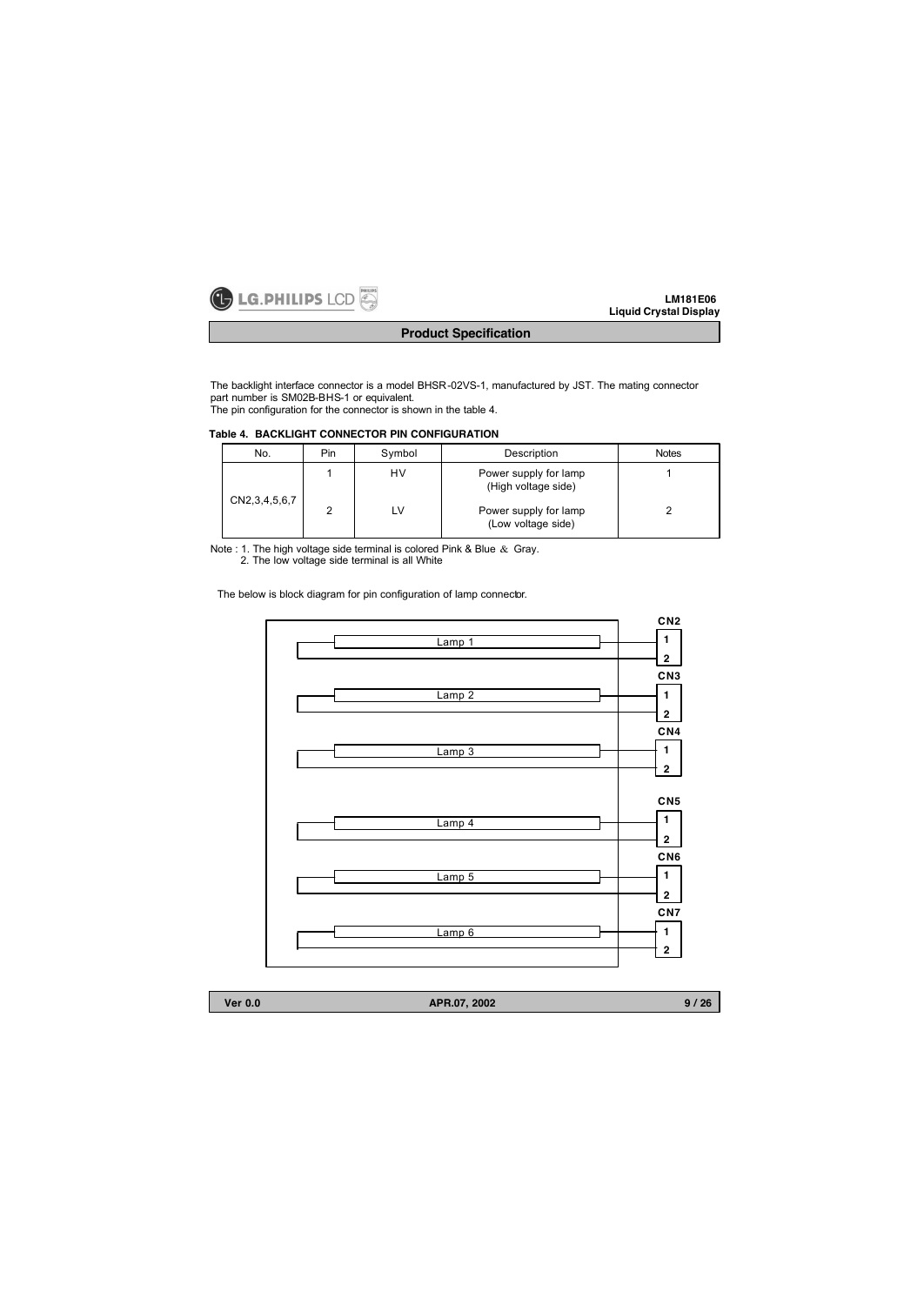

The backlight interface connector is a model BHSR-02VS-1, manufactured by JST. The mating connector part number is SM02B-BHS-1 or equivalent. The pin configuration for the connector is shown in the table 4.

## **Table 4. BACKLIGHT CONNECTOR PIN CONFIGURATION**

| No.                | Pin | Symbol   | Description                                  | <b>Notes</b> |
|--------------------|-----|----------|----------------------------------------------|--------------|
|                    |     | HV<br>LV | Power supply for lamp<br>(High voltage side) |              |
| CN2, 3, 4, 5, 6, 7 | ົ   |          | Power supply for lamp<br>(Low voltage side)  |              |

Note : 1. The high voltage side terminal is colored Pink & Blue & Gray. 2. The low voltage side terminal is all White

The below is block diagram for pin configuration of lamp connector.



| <b>Ver 0.0</b> | APR.07, 2002 | 9 / 26 |
|----------------|--------------|--------|
|                |              |        |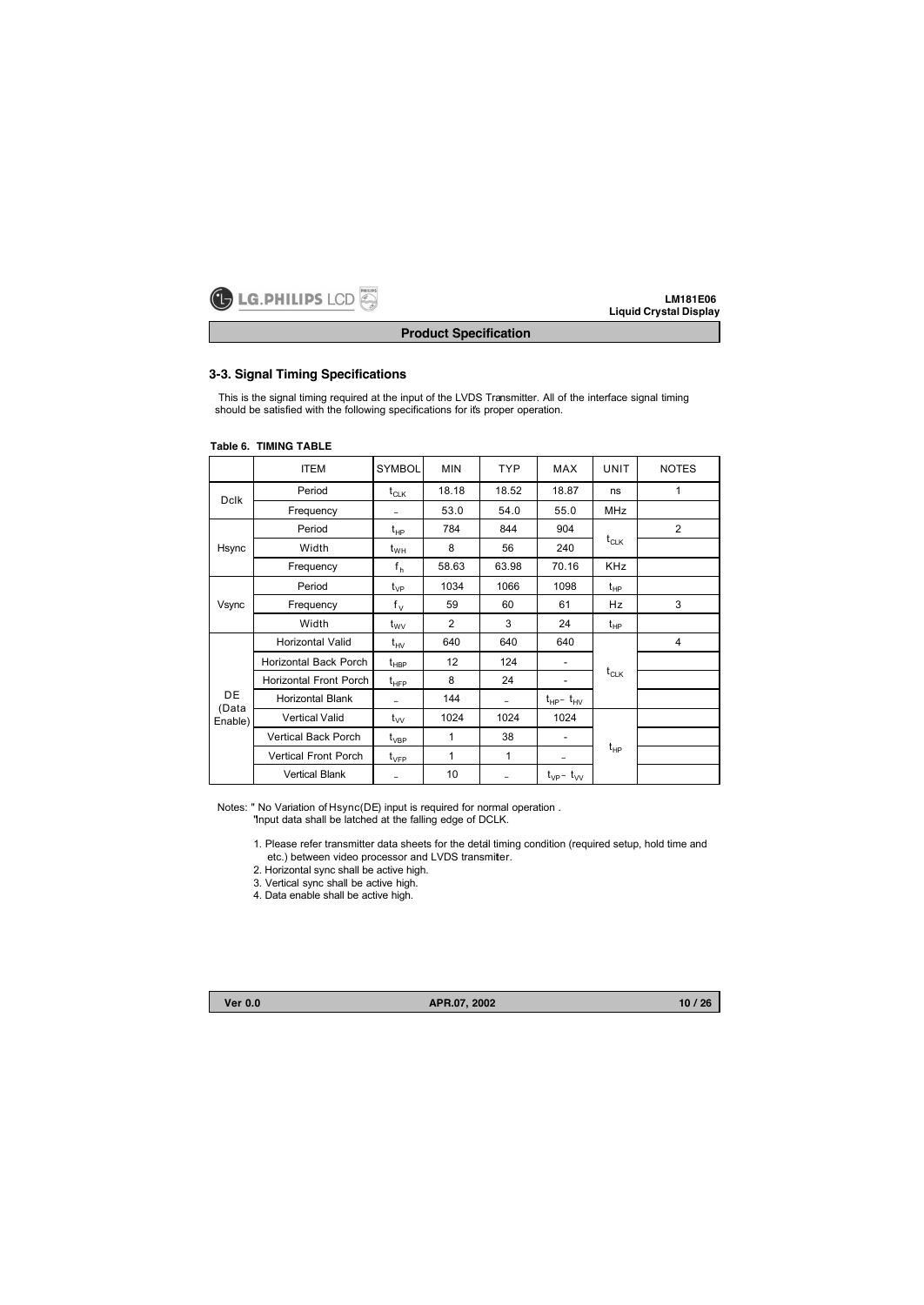

# **Product Specification**

## **3-3. Signal Timing Specifications**

This is the signal timing required at the input of the LVDS Transmitter. All of the interface signal timing should be satisfied with the following specifications for it's proper operation.

|              | <b>ITEM</b>                 | <b>SYMBOL</b>                   | <b>MIN</b>     | <b>TYP</b> | <b>MAX</b>               | <b>UNIT</b> | <b>NOTES</b>   |  |  |
|--------------|-----------------------------|---------------------------------|----------------|------------|--------------------------|-------------|----------------|--|--|
| <b>Dclk</b>  | Period                      | $t_{CLK}$                       | 18.18          | 18.52      | 18.87                    | ns          | 1              |  |  |
|              | Frequency                   | -                               | 53.0           | 54.0       | 55.0                     | <b>MHz</b>  |                |  |  |
|              | Period                      | $t_{HP}$                        | 784            | 844        | 904                      |             | $\overline{2}$ |  |  |
| Hsync        | Width                       | $t_{WH}$                        | 8              | 56         | 240                      | $t_{CLK}$   |                |  |  |
|              | Frequency                   | f <sub>h</sub>                  | 58.63          | 63.98      | 70.16                    | <b>KHz</b>  |                |  |  |
|              | Period                      | $t_{VP}$                        | 1034           | 1066       | 1098                     | $t_{HP}$    |                |  |  |
| Vsync        | Frequency                   | $f_V$                           | 59             | 60         | 61                       | Hz          | 3              |  |  |
|              | Width                       | $t_{\rm WV}$                    | $\overline{2}$ | 3          | 24                       | $t_{HP}$    |                |  |  |
|              | Horizontal Valid            | $t_{HV}$                        | 640            | 640        | 640                      |             | 4              |  |  |
|              | Horizontal Back Porch       | $t_{\sf HBP}$                   | 12             | 124        | ۰                        |             |                |  |  |
|              | Horizontal Front Porch      | $t_{\sf HFP}$                   | 8              | 24         | $\overline{\phantom{a}}$ | $t_{CLK}$   |                |  |  |
| DE.<br>(Data | <b>Horizontal Blank</b>     |                                 | 144            | -          | $t_{HP}$ - $t_{HV}$      |             |                |  |  |
| Enable)      | <b>Vertical Valid</b>       | $t_{VV}$                        | 1024           | 1024       | 1024                     |             |                |  |  |
|              | Vertical Back Porch         | $t_{\rm VBP}$                   | 1              | 38         | $\overline{\phantom{a}}$ |             |                |  |  |
|              | <b>Vertical Front Porch</b> | $t_{\scriptscriptstyle\rm VFP}$ | 1              | 1          | -                        | $t_{HP}$    |                |  |  |
|              | <b>Vertical Blank</b>       | -                               | 10             |            | $t_{VP}$ - $t_{VV}$      |             |                |  |  |

#### **Table 6. TIMING TABLE**

Notes: " No Variation of Hsync(DE) input is required for normal operation . "Input data shall be latched at the falling edge of DCLK.

> 1. Please refer transmitter data sheets for the detail timing condition (required setup, hold time and etc.) between video processor and LVDS transmiter.

2. Horizontal sync shall be active high.

3. Vertical sync shall be active high.

4. Data enable shall be active high.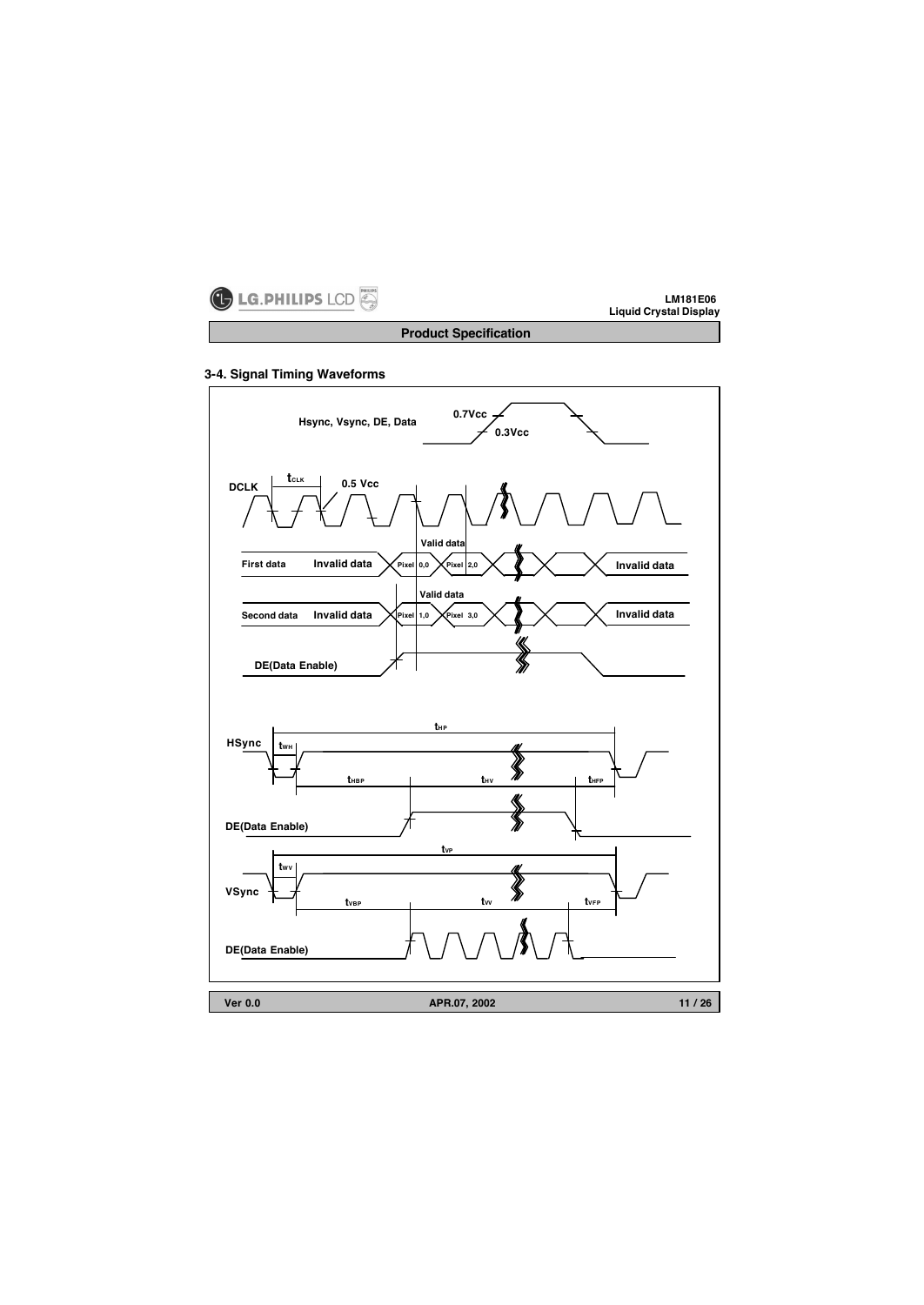

**Product Specification**

# **3-4. Signal Timing Waveforms**

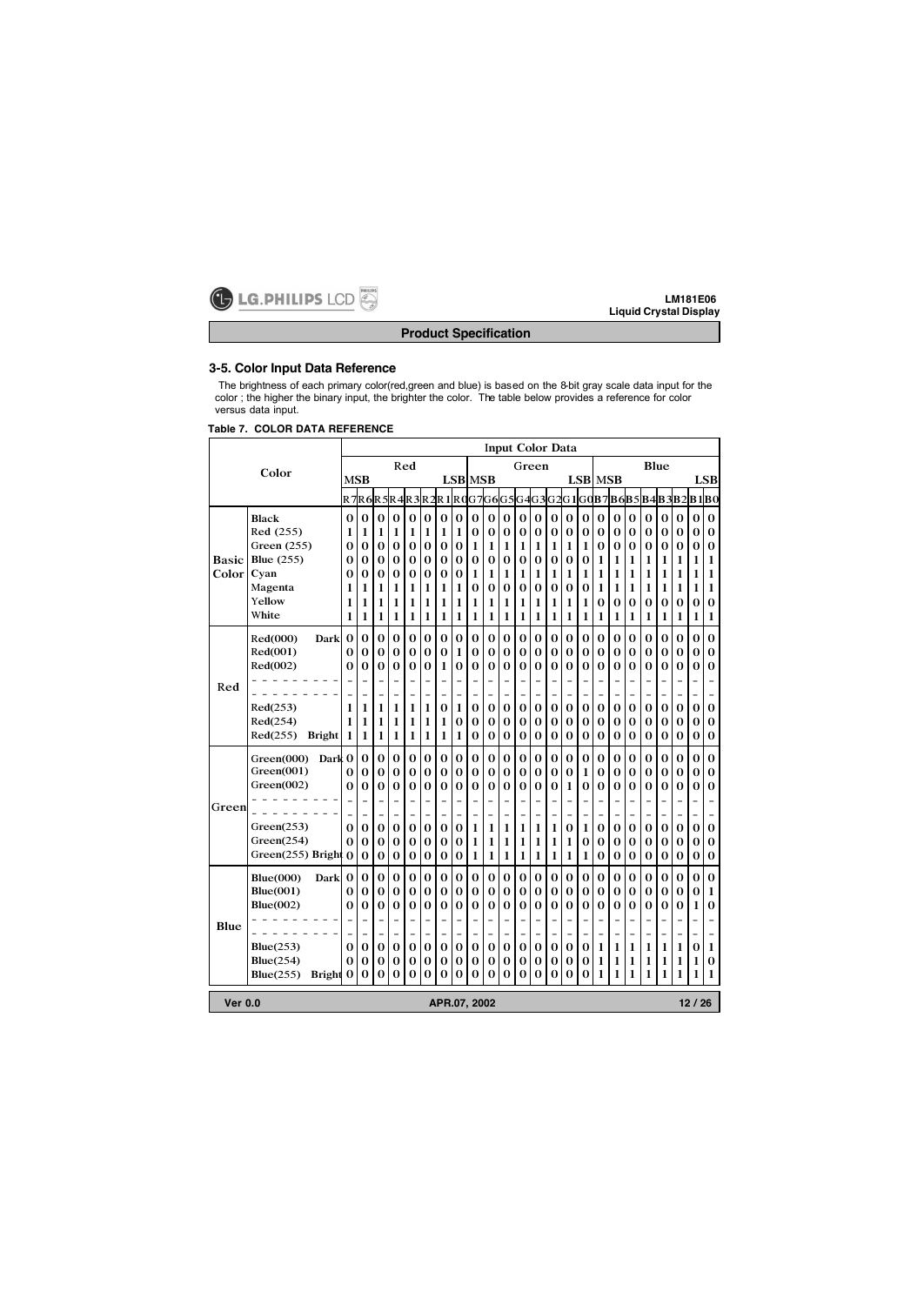

# **Product Specification**

# **3-5. Color Input Data Reference**

The brightness of each primary color(red,green and blue) is based on the 8-bit gray scale data input for the color ; the higher the binary input, the brighter the color. The table below provides a reference for color versus data input.

## **Table 7. COLOR DATA REFERENCE**

|                                        |                           | <b>Input Color Data</b> |          |                |                                    |     |                          |                |                          |          |          |                          |          |                |                          |                          |          |                |                          |          |                          |                          |                |   |              |
|----------------------------------------|---------------------------|-------------------------|----------|----------------|------------------------------------|-----|--------------------------|----------------|--------------------------|----------|----------|--------------------------|----------|----------------|--------------------------|--------------------------|----------|----------------|--------------------------|----------|--------------------------|--------------------------|----------------|---|--------------|
|                                        |                           |                         |          |                |                                    | Red |                          | Green          |                          |          |          |                          |          |                | Blue                     |                          |          |                |                          |          |                          |                          |                |   |              |
| Color                                  |                           |                         | MSB      |                |                                    |     |                          | <b>LSB</b> MSB |                          |          |          |                          |          |                |                          |                          |          |                | <b>LSB MSB</b>           |          |                          |                          |                |   | <b>LSB</b>   |
|                                        |                           |                         |          |                | R7R6R5R4R3R2R1R0G7G6G5G4G3G2G1G0B7 |     |                          |                |                          |          |          |                          |          |                |                          |                          |          |                |                          |          |                          |                          | B6B5B4B3B2B1B0 |   |              |
|                                        | <b>Black</b>              | $\Omega$                | 0        | $\bf{0}$       | 0                                  | 0   | 0                        | 0              | 0                        | $\Omega$ | $\bf{0}$ | $\Omega$                 | 0        | 0              | 0                        | $\Omega$                 | $\bf{0}$ | $\bf{0}$       | $\bf{0}$                 | 0        | 0                        | 0                        | $\Omega$       | 0 | $\bf{0}$     |
|                                        | Red (255)                 | 1                       | 1        | 1              | 1                                  | 1   | 1                        | 1              | 1                        | 0        | 0        | $\bf{0}$                 | 0        | $\bf{0}$       | $\bf{0}$                 | $\bf{0}$                 | $\bf{0}$ | 0              | $\bf{0}$                 | 0        | 0                        | 0                        | $\bf{0}$       | 0 | 0            |
|                                        | Green (255)               | 0                       | 0        | $\bf{0}$       | 0                                  | 0   | $\bf{0}$                 | $\bf{0}$       | $\bf{0}$                 | 1        | 1        | 1                        | 1        | 1              | 1                        | 1                        | 1        | $\bf{0}$       | 0                        | $\bf{0}$ | $\bf{0}$                 | $\bf{0}$                 | 0              | 0 | $\bf{0}$     |
| Basic                                  | <b>Blue</b> (255)         | 0                       | 0        | 0              | $\bf{0}$                           | 0   | 0                        | 0              | 0                        | 0        | 0        | $\bf{0}$                 | 0        | 0              | 0                        | $\bf{0}$                 | 0        | 1              | 1                        | 1        | 1                        | 1                        | 1              | 1 | 1            |
| Color                                  | Cyan                      | 0                       | 0        | 0              | 0                                  | 0   | 0                        | 0              | $\bf{0}$                 | 1        | 1        | 1                        | 1        | 1              | 1                        | 1                        | 1        | 1              | 1                        | 1        | 1                        | 1                        | 1              | 1 | 1            |
|                                        | Magenta                   | 1                       | 1        | 1              | 1                                  | 1   | 1                        | 1              | 1                        | 0        | $\bf{0}$ | $\bf{0}$                 | $\Omega$ | $\bf{0}$       | 0                        | $\bf{0}$                 | $\bf{0}$ | 1              | 1                        | 1        | 1                        | 1                        | 1              | 1 | 1            |
|                                        | Yellow                    | 1                       | 1        | 1              | 1                                  | 1   | 1                        | 1              | 1                        | 1        | 1        | 1                        | 1        | 1              | 1                        | 1                        | 1        | 0              | 0                        | 0        | $\bf{0}$                 | 0                        | 0              | 0 | 0            |
|                                        | White                     | 1                       | 1        | 1              | 1                                  | 1   | 1                        | 1              | 1                        | 1        | 1        | 1                        | 1        | 1              | 1                        | 1                        | 1        | 1              | 1                        | 1        | 1                        | 1                        | 1              | 1 | 1            |
|                                        | Red(000)<br>Dark          | $\bf{0}$                | $\bf{0}$ | $\bf{0}$       | $\bf{0}$                           | 0   | $\bf{0}$                 | $\bf{0}$       | $\bf{0}$                 | $\bf{0}$ | $\bf{0}$ | $\bf{0}$                 | $\bf{0}$ | $\bf{0}$       | $\bf{0}$                 | $\bf{0}$                 | $\bf{0}$ | $\bf{0}$       | $\bf{0}$                 | $\bf{0}$ | $\bf{0}$                 | $\bf{0}$                 | 0              | 0 | $\bf{0}$     |
|                                        | Red(001)                  | 0                       | 0        | 0              | 0                                  | 0   | 0                        | 0              | 1                        | 0        | 0        | 0                        | 0        | 0              | 0                        | $\bf{0}$                 | 0        | 0              | 0                        | 0        | 0                        | 0                        | 0              | 0 | 0            |
|                                        | Red(002)                  | 0                       | 0        | 0              | $\bf{0}$                           | 0   | 0                        | 1              | $\bf{0}$                 | 0        | 0        | 0                        | 0        | 0              | 0                        | 0                        | 0        | 0              | 0                        | 0        | 0                        | 0                        | 0              | 0 | 0            |
| Red                                    |                           |                         |          |                | $\overline{\phantom{0}}$           |     |                          |                | ۳                        |          |          |                          |          |                |                          | ۰                        |          |                |                          |          |                          |                          |                |   |              |
|                                        |                           |                         |          | $\overline{a}$ | $\overline{a}$                     |     | $\overline{\phantom{0}}$ | $\overline{a}$ | $\overline{\phantom{0}}$ |          | -        | $\overline{a}$           |          | $\overline{a}$ | $\overline{\phantom{0}}$ | $\qquad \qquad -$        |          | -              | $\overline{\phantom{a}}$ |          | $\overline{\phantom{0}}$ | $\overline{\phantom{0}}$ |                |   |              |
|                                        | Red(253)                  | 1                       | 1        | 1              | 1                                  | 1   | 1                        | $\bf{0}$       | 1                        | 0        | $\bf{0}$ | $\bf{0}$                 | 0        | $\bf{0}$       | $\bf{0}$                 | $\bf{0}$                 | 0        | $\bf{0}$       | $\bf{0}$                 | 0        | $\bf{0}$                 | $\bf{0}$                 | 0              | 0 | 0            |
|                                        | Red(254)                  | 1                       | 1        | 1              | 1                                  | 1   | 1                        | 1              | 0                        | 0        | 0        | $\bf{0}$                 | 0        | 0              | 0                        | $\bf{0}$                 | 0        | 0              | 0                        | 0        | 0                        | 0                        | 0              | 0 | 0            |
|                                        | Red(255)<br><b>Bright</b> | 1                       | 1        | 1              | 1                                  | 1   | 1                        | 1              | 1                        | 0        | $\bf{0}$ | $\bf{0}$                 | 0        | $\bf{0}$       | $\bf{0}$                 | 0                        | 0        | $\bf{0}$       | $\bf{0}$                 | 0        | $\bf{0}$                 | $\bf{0}$                 | 0              | 0 | 0            |
|                                        | Dark 0<br>Green(000)      |                         | 0        | $\bf{0}$       | $\bf{0}$                           | 0   | $\bf{0}$                 | $\bf{0}$       | $\bf{0}$                 | $\bf{0}$ | $\bf{0}$ | $\bf{0}$                 | 0        | $\bf{0}$       | $\bf{0}$                 | $\bf{0}$                 | $\bf{0}$ | $\bf{0}$       | $\bf{0}$                 | 0        | $\bf{0}$                 | $\bf{0}$                 | 0              | 0 | $\bf{0}$     |
|                                        | Green(001)                | 0                       | 0        | 0              | 0                                  | 0   | 0                        | 0              | $\bf{0}$                 | 0        | 0        | $\bf{0}$                 | 0        | 0              | 0                        | $\bf{0}$                 | 1        | 0              | 0                        | 0        | 0                        | $\bf{0}$                 | 0              | 0 | 0            |
|                                        | Green(002)                | 0                       | 0        | $\bf{0}$       | $\bf{0}$                           | 0   | 0                        | $\bf{0}$       | 0                        | $\Omega$ | 0        | $\bf{0}$                 | $\Omega$ | 0              | $\bf{0}$                 | 1                        | 0        | $\bf{0}$       | 0                        | 0        | 0                        | 0                        | 0              | 0 | $\bf{0}$     |
| Green                                  |                           |                         |          | $\overline{a}$ | $\overline{\phantom{a}}$           |     |                          | $\overline{a}$ | $\overline{\phantom{a}}$ |          |          | $\overline{\phantom{a}}$ |          |                | $\overline{\phantom{a}}$ | $\overline{\phantom{a}}$ |          |                | $\overline{\phantom{a}}$ |          | $\overline{a}$           | $\overline{\phantom{0}}$ |                |   |              |
|                                        |                           |                         |          |                | $\overline{a}$                     |     |                          | -              | $\overline{a}$           |          | -        |                          |          | $\overline{a}$ | $\overline{a}$           | $\overline{\phantom{0}}$ |          | -              |                          |          | -                        | -                        |                |   |              |
|                                        | Green(253)                | 0                       | 0        | $\bf{0}$       | $\bf{0}$                           | 0   | $\bf{0}$                 | $\bf{0}$       | $\bf{0}$                 | 1        | 1        | 1                        | 1        | 1              | 1                        | $\bf{0}$                 | 1        | $\bf{0}$       | $\bf{0}$                 | 0        | $\bf{0}$                 | $\bf{0}$                 | $\bf{0}$       | 0 | $\bf{0}$     |
|                                        | Green(254)                | $\Omega$                | 0        | 0              | 0                                  | 0   | 0                        | 0              | 0                        | 1        | 1        | 1                        | 1        | 1              | 1                        | 1                        | 0        | 0              | 0                        | 0        | 0                        | 0                        | 0              | 0 | 0            |
|                                        | Green $(255)$ Bright $0$  |                         | 0        | $\bf{0}$       | $\bf{0}$                           | 0   | $\bf{0}$                 | $\bf{0}$       | $\bf{0}$                 | 1        | 1        | 1                        | 1        | $\mathbf{1}$   | 1                        | 1                        | 1        | $\bf{0}$       | $\bf{0}$                 | 0        | $\bf{0}$                 | $\bf{0}$                 | 0              | 0 | $\bf{0}$     |
|                                        | <b>Blue(000)</b><br>Dark  | $\bf{0}$                | 0        | $\theta$       | $\bf{0}$                           | 0   | $\bf{0}$                 | $\bf{0}$       | $\bf{0}$                 | 0        | $\bf{0}$ | $\bf{0}$                 | 0        | $\bf{0}$       | $\bf{0}$                 | $\bf{0}$                 | $\bf{0}$ | $\bf{0}$       | $\bf{0}$                 | 0        | $\bf{0}$                 | $\bf{0}$                 | $\bf{0}$       | 0 | $\mathbf{0}$ |
|                                        | Blue(001)                 | 0                       | 0        | 0              | 0                                  | 0   | 0                        | $\bf{0}$       | $\bf{0}$                 | 0        | 0        | 0                        | 0        | 0              | 0                        | 0                        | 0        | 0              | $\bf{0}$                 | 0        | 0                        | $\bf{0}$                 | 0              | 0 | 1            |
|                                        | Blue(002)                 | 0                       | 0        | 0              | 0                                  | 0   | 0                        | 0              | 0                        | 0        | 0        | 0                        | 0        | 0              | 0                        | $\bf{0}$                 | 0        | 0              | 0                        | 0        | 0                        | 0                        | 0              | 1 | 0            |
| Blue                                   |                           |                         |          |                |                                    |     |                          |                |                          |          |          |                          |          |                |                          |                          |          |                |                          |          |                          |                          |                |   |              |
|                                        |                           |                         |          |                | $\overline{\phantom{0}}$           |     |                          |                | $\overline{\phantom{a}}$ |          | -        |                          |          |                | $\overline{\phantom{0}}$ | $\overline{\phantom{a}}$ |          | $\overline{a}$ |                          |          | -                        | $\overline{a}$           |                |   |              |
|                                        | Blue(253)                 | 0                       | 0        | $\bf{0}$       | $\bf{0}$                           | 0   | $\bf{0}$                 | $\bf{0}$       | 0                        | 0        | $\bf{0}$ | $\bf{0}$                 | 0        | $\bf{0}$       | $\bf{0}$                 | $\bf{0}$                 | 0        | 1              | 1                        | 1        | 1                        | 1                        | 1              | 0 | 1            |
|                                        | <b>Blue</b> (254)         | 0                       | 0        | 0              | $\bf{0}$                           | 0   | $\bf{0}$                 | $\bf{0}$       | 0                        | 0        | 0        | $\bf{0}$                 | 0        | 0              | 0                        | 0                        | 0        | 1              | 1                        | 1        | 1                        | 1                        | 1              | 1 | $\bf{0}$     |
|                                        | Blue(255)<br>Bright 0     |                         | 0        | $\bf{0}$       | 0                                  | 0   | $\bf{0}$                 | $\bf{0}$       | 0                        | 0        | 0        | 0                        | 0        | 0              | $\bf{0}$                 | 0                        | 0        | 1              | 1                        | 1        | 1                        | 1                        | 1              | 1 | 1            |
| 12/26<br><b>Ver 0.0</b><br>APR.07.2002 |                           |                         |          |                |                                    |     |                          |                |                          |          |          |                          |          |                |                          |                          |          |                |                          |          |                          |                          |                |   |              |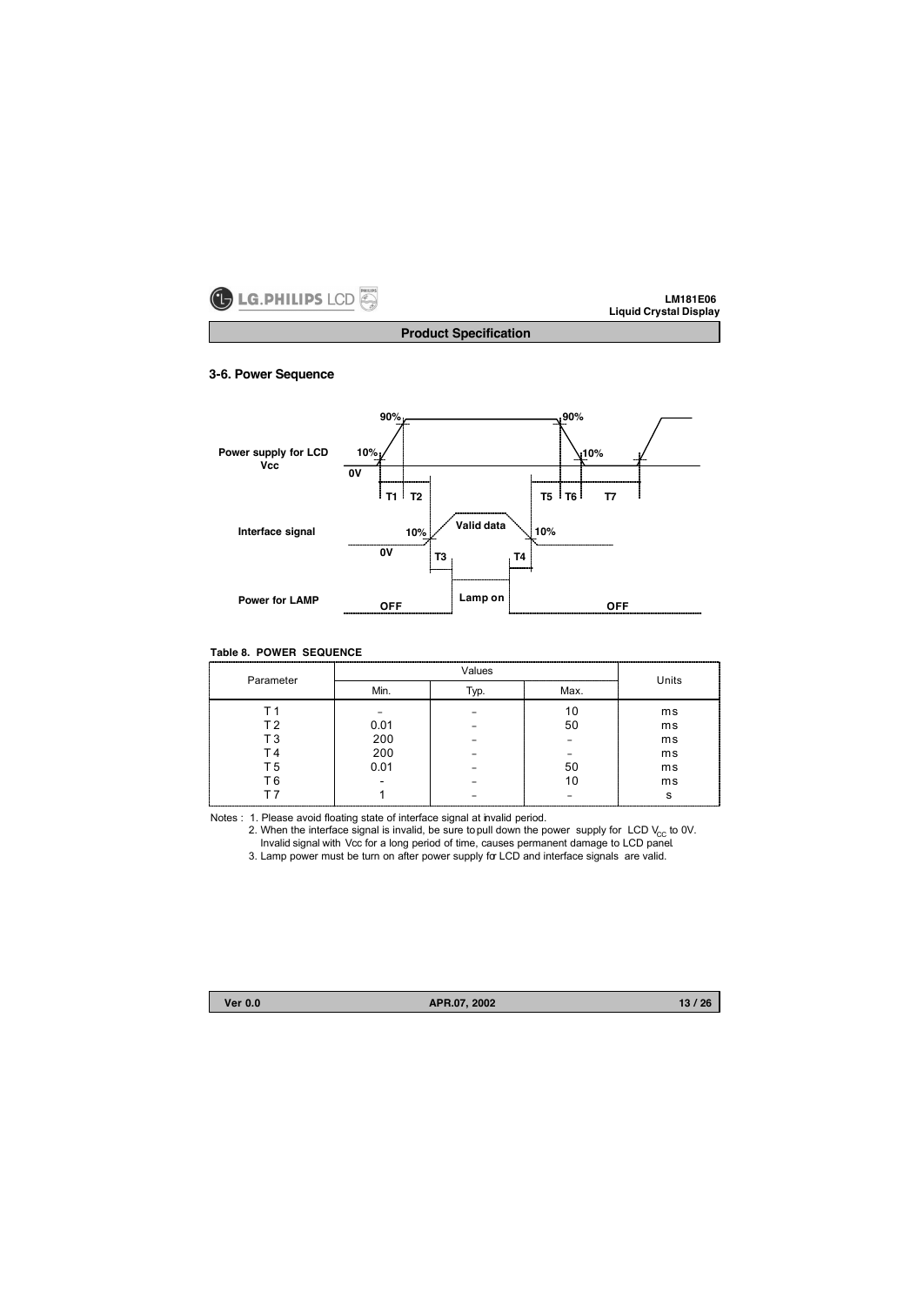

**Product Specification**

## **3-6. Power Sequence**



# **Table 8. POWER SEQUENCE**

| Parameter            |              | Units |      |    |
|----------------------|--------------|-------|------|----|
|                      | Min.<br>Typ. |       | Max. |    |
|                      |              |       |      | ms |
| T 2                  | 0.01         |       | 50   | ms |
| Т3                   | 200          |       |      | ms |
|                      | 200          |       |      | ms |
| T 5                  | 0.01         |       | 50   | ms |
| T 6                  |              |       |      | ms |
| -------------------- |              |       |      | s  |

Notes : 1. Please avoid floating state of interface signal at invalid period.

2. When the interface signal is invalid, be sure to pull down the power supply for LCD  $V_{\text{CC}}$  to 0V. Invalid signal with Vcc for a long period of time, causes permanent damage to LCD panel.

3. Lamp power must be turn on after power supply for LCD and interface signals are valid.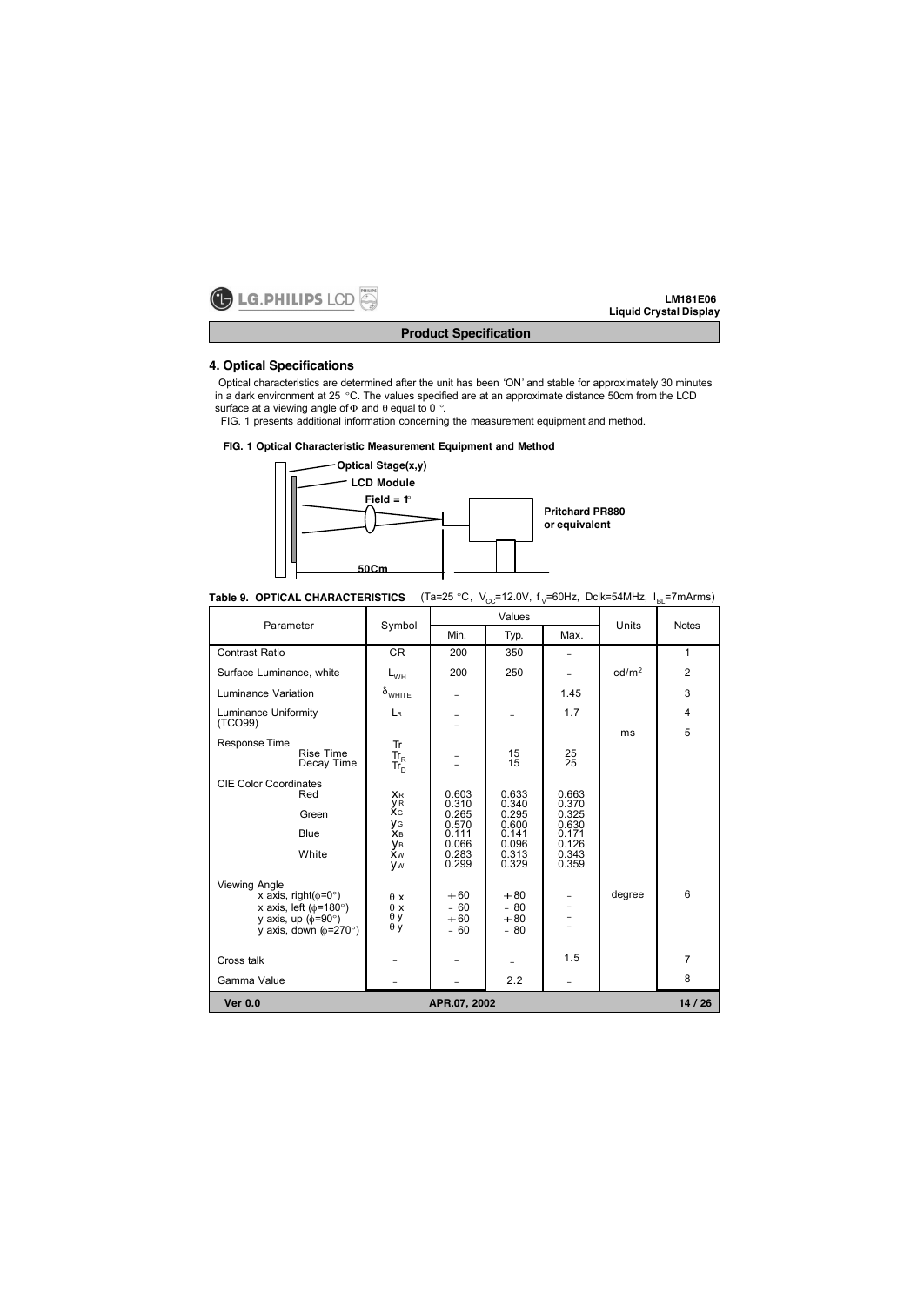

# **Product Specification**

# **4. Optical Specifications**

Optical characteristics are determined after the unit has been 'ON' and stable for approximately 30 minutes in a dark environment at 25 °C. The values specified are at an approximate distance 50cm from the LCD surface at a viewing angle of  $\Phi$  and  $\theta$  equal to 0 °.

FIG. 1 presents additional information concerning the measurement equipment and method.

## **FIG. 1 Optical Characteristic Measurement Equipment and Method**



| Table 9. OPTICAL CHARACTERISTICS (Ta=25 °C, $V_{\text{CC}}$ =12.0V, f <sub>V</sub> =60Hz, Dclk=54MHz, I <sub>BL</sub> =7mArms) |  |  |  |  |
|--------------------------------------------------------------------------------------------------------------------------------|--|--|--|--|
|--------------------------------------------------------------------------------------------------------------------------------|--|--|--|--|

| Parameter                                                                                                                                                 | Values<br>Symbol                                            |                                                                      |                                                                      |                                                                      | Units<br><b>Notes</b> |                     |  |
|-----------------------------------------------------------------------------------------------------------------------------------------------------------|-------------------------------------------------------------|----------------------------------------------------------------------|----------------------------------------------------------------------|----------------------------------------------------------------------|-----------------------|---------------------|--|
|                                                                                                                                                           |                                                             | Min.                                                                 | Typ.                                                                 | Max.                                                                 |                       |                     |  |
| <b>Contrast Ratio</b>                                                                                                                                     | CR.                                                         | 200                                                                  | 350                                                                  |                                                                      |                       | $\mathbf{1}$        |  |
| Surface Luminance, white                                                                                                                                  | $L_{WH}$                                                    | 200                                                                  | 250                                                                  |                                                                      | cd/m <sup>2</sup>     | $\overline{2}$      |  |
| Luminance Variation                                                                                                                                       | $\delta_{\text{WHITE}}$                                     | -                                                                    |                                                                      | 1.45                                                                 |                       | 3                   |  |
| Luminance Uniformity<br>(TCO99)                                                                                                                           | LR                                                          | -                                                                    |                                                                      | 1.7                                                                  | ms                    | $\overline{4}$<br>5 |  |
| Response Time<br>Rise Time<br>Decay Time                                                                                                                  | Tr<br>Tr <sub>R</sub><br>Tr <sub>D</sub>                    |                                                                      | $^{15}_{15}$                                                         | $^{25}_{25}$                                                         |                       |                     |  |
| <b>CIE Color Coordinates</b><br>Red<br>Green<br>Blue<br>White                                                                                             | <b>XR</b><br>y R<br>XG<br>УG<br>Хв<br>Ув<br>Хw<br><b>Vw</b> | 0.603<br>0.310<br>0.265<br>0.570<br>0.111<br>0.066<br>0.283<br>0.299 | 0.633<br>0.340<br>0.295<br>0.600<br>0.141<br>0.096<br>0.313<br>0.329 | 0.663<br>0.370<br>0.325<br>0.630<br>0.171<br>0.126<br>0.343<br>0.359 |                       |                     |  |
| <b>Viewing Angle</b><br>x axis, right( $\phi$ =0°)<br>x axis, left ( $\phi$ =180°)<br>y axis, up $(\phi = 90^\circ)$<br>y axis, down $(\phi = 270^\circ)$ | $\theta x$<br>$\theta$ x<br>$\theta$ y<br>$\theta$ y        | $+60$<br>$-60$<br>$+60$<br>$-60$                                     | $+80$<br>$-80$<br>$+80$<br>$-80$                                     |                                                                      | degree                | 6                   |  |
| Cross talk                                                                                                                                                |                                                             |                                                                      |                                                                      | 1.5                                                                  |                       | 7                   |  |
| Gamma Value                                                                                                                                               |                                                             |                                                                      | 2.2                                                                  |                                                                      |                       | 8                   |  |
| <b>Ver 0.0</b>                                                                                                                                            |                                                             | APR.07, 2002                                                         |                                                                      |                                                                      |                       | 14/26               |  |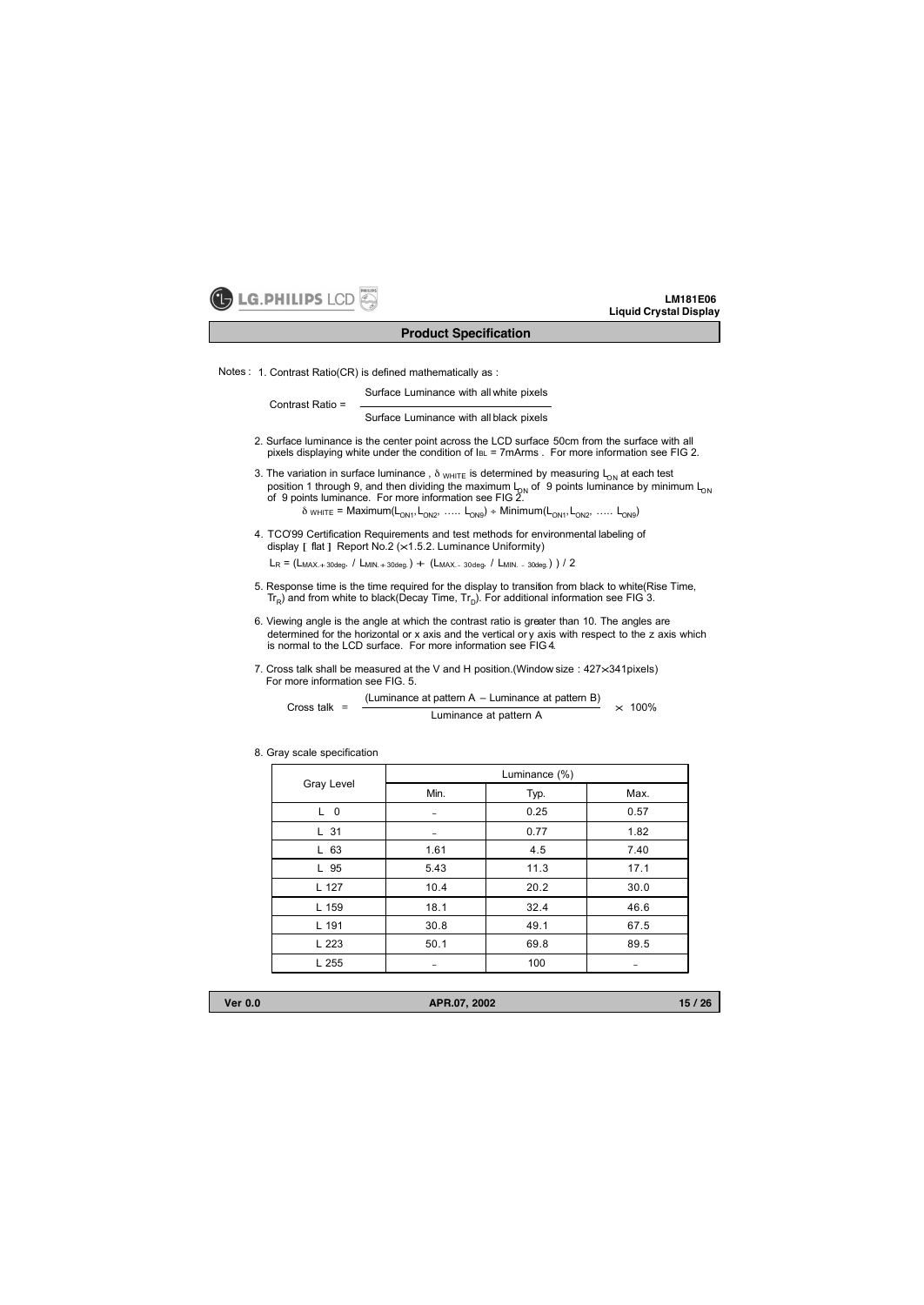

#### **Product Specification**

Notes : 1. Contrast Ratio(CR) is defined mathematically as :

Surface Luminance with all white pixels

Contrast Ratio =

Surface Luminance with all black pixels

- 2. Surface luminance is the center point across the LCD surface 50cm from the surface with all pixels displaying white under the condition of IBL = 7mArms . For more information see FIG 2.
- 3. The variation in surface luminance,  $\delta$  WHITE is determined by measuring L<sub>ON</sub> at each test position 1 through 9, and then dividing the maximum L<sub>ON</sub> of 9 points luminance by minimum L<sub>ON</sub><br>of 9 points luminance. For more information see FIG 2.  $\delta_{\textrm{WHITE}} = \textrm{Maximum} (L_{\textrm{ON1}}, L_{\textrm{ON2}}, \; \textrm{....} \; L_{\textrm{ON9}}) \; + \; \textrm{Minimum} (L_{\textrm{ON1}}, L_{\textrm{ON2}}, \; \textrm{....} \; L_{\textrm{ON9}})$ 
	-
- 4. TCO'99 Certification Requirements and test methods for environmental labeling of display [ flat ] Report No.2 ( $\times$ 1.5.2. Luminance Uniformity)

 $L_R = (L_{MAX.+30deq}. / L_{MIN.+30deq.}) + (L_{MAX.-30deq}. / L_{MIN.-30deq.}) / 2$ 

- 5. Response time is the time required for the display to transition from black to white(Rise Time,  $Tr_{\rm p}$ ) and from white to black(Decay Time,  $Tr_{\rm p}$ ). For additional information see FIG 3.
- 6. Viewing angle is the angle at which the contrast ratio is greater than 10. The angles are determined for the horizontal or x axis and the vertical or y axis with respect to the z axis which is normal to the LCD surface. For more information see FIG 4.
- 7. Cross talk shall be measured at the V and H position. (Window size :  $427\times341$ pixels) For more information see FIG. 5.

Cross talk =  $\frac{1}{\sqrt{2\pi}} \frac{1}{\sqrt{2\pi}}$ <br>Luminance at pattern A (Luminance at pattern A – Luminance at pattern B)  $\times$  100%

|                | Luminance (%) |      |      |  |  |  |
|----------------|---------------|------|------|--|--|--|
| Gray Level     | Min.          | Typ. | Max. |  |  |  |
| L <sub>0</sub> |               | 0.25 | 0.57 |  |  |  |
| L 31           |               | 0.77 | 1.82 |  |  |  |
| L 63           | 1.61          | 4.5  | 7.40 |  |  |  |
| L 95           | 5.43          | 11.3 | 17.1 |  |  |  |
| L 127          | 10.4          | 20.2 | 30.0 |  |  |  |
| L 159          | 18.1          | 32.4 | 46.6 |  |  |  |
| L 191          | 30.8          | 49.1 | 67.5 |  |  |  |
| L 223          | 50.1          | 69.8 | 89.5 |  |  |  |
| L 255          | -             | 100  | -    |  |  |  |

8. Gray scale specification

**Ver 0.0 APR.07, 2002**

**15 / 26**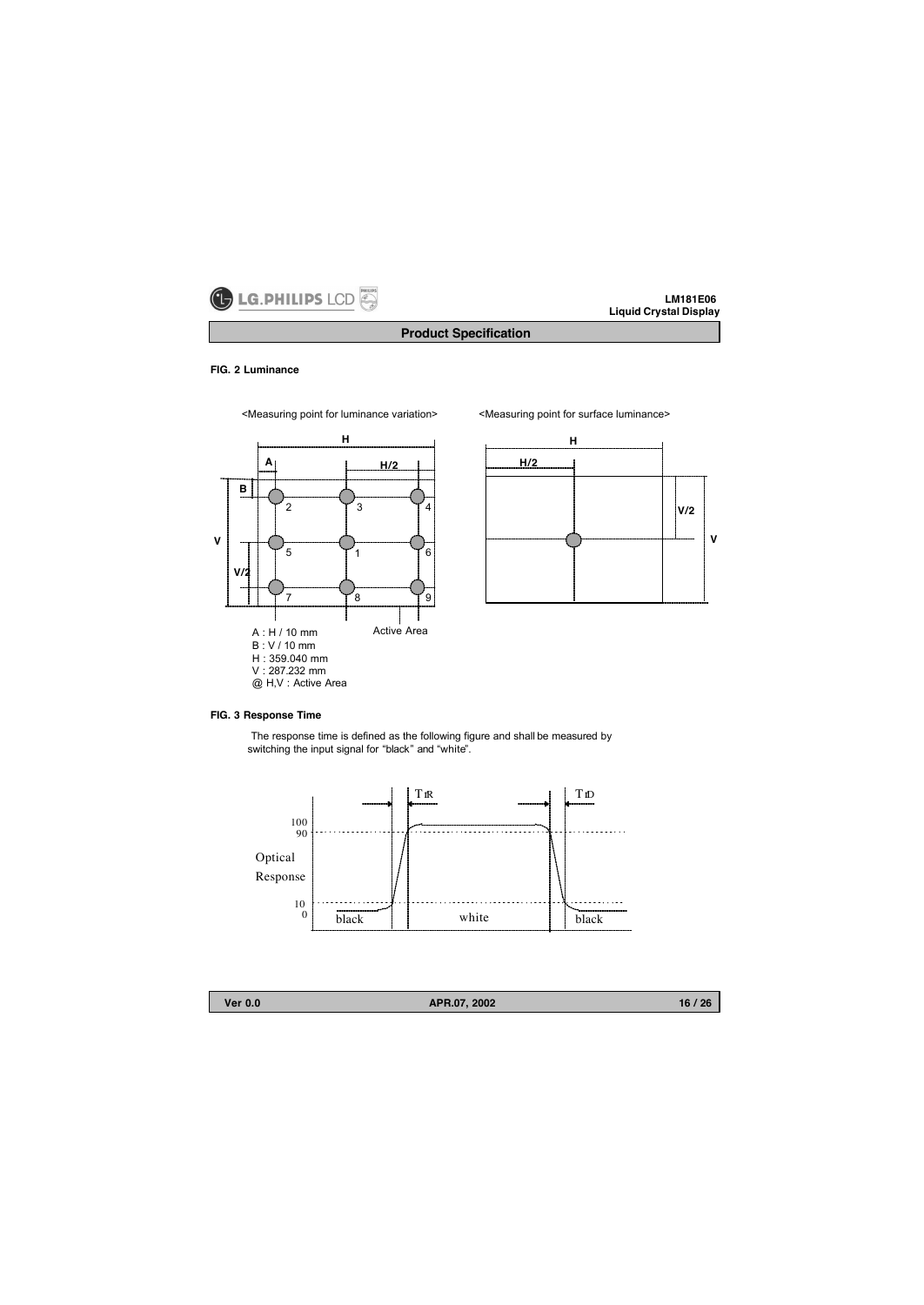

# **Product Specification**

#### **FIG. 2 Luminance**

<Measuring point for luminance variation> <Measuring point for surface luminance>







## **FIG. 3 Response Time**

The response time is defined as the following figure and shall be measured by switching the input signal for "black" and "white".





**Ver 0.0 APR.07, 2002**

**16 / 26**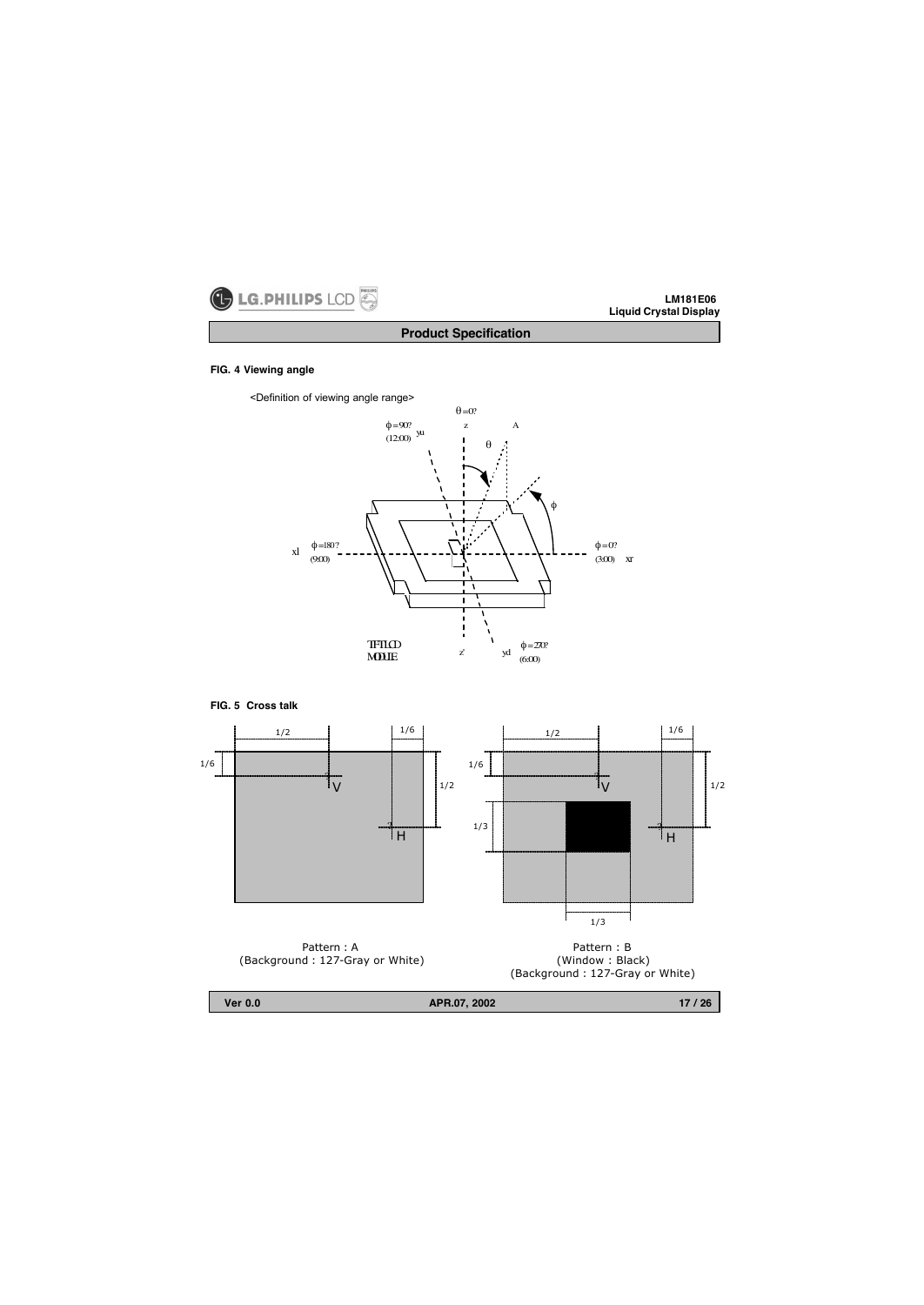

**Product Specification**

#### **FIG. 4 Viewing angle**

<Definition of viewing angle range>



**FIG. 5 Cross talk**



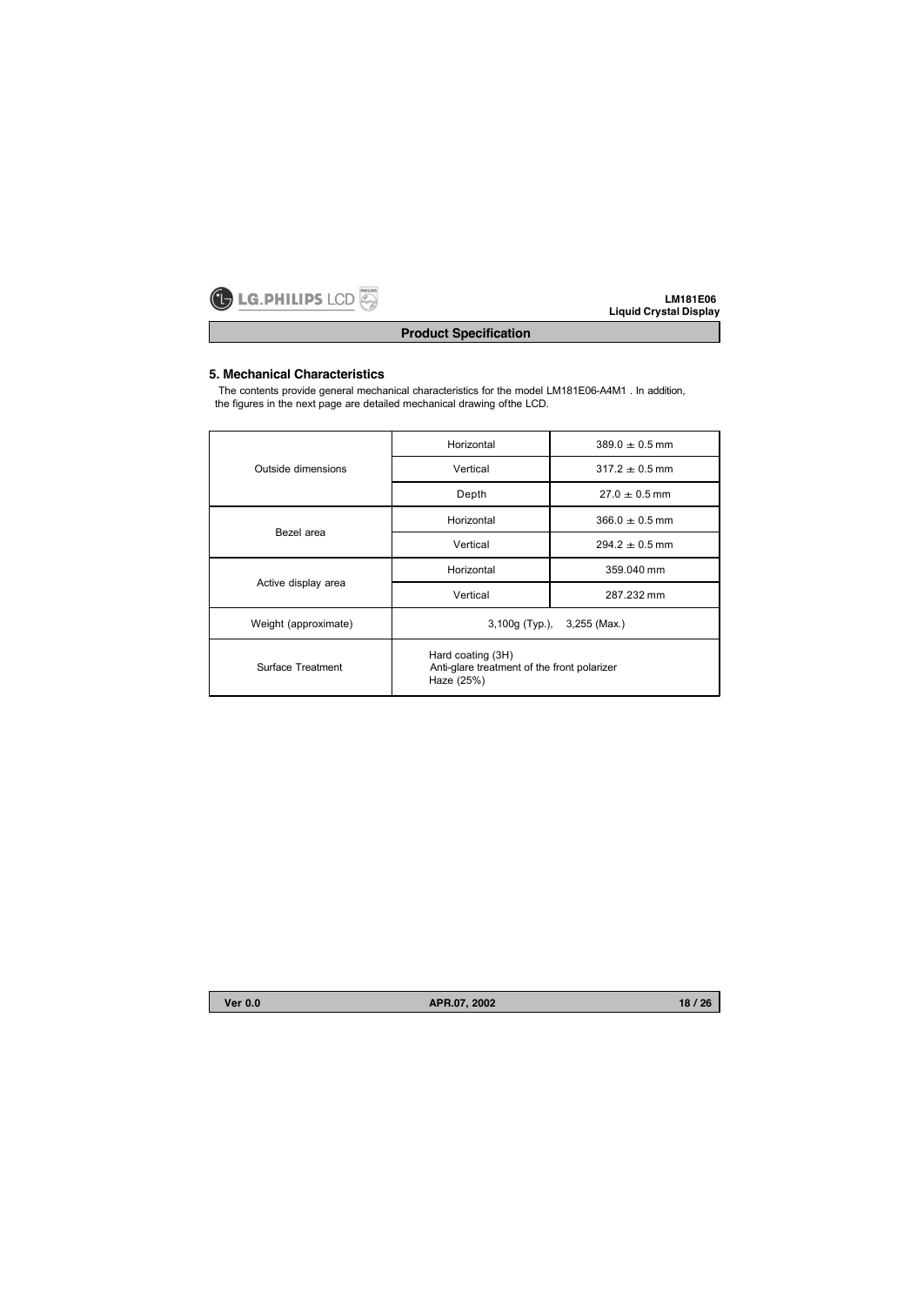

# **Product Specification**

# **5. Mechanical Characteristics**

The contents provide general mechanical characteristics for the model LM181E06-A4M1 . In addition, the figures in the next page are detailed mechanical drawing of the LCD.

|                      | Horizontal                                                                     | $389.0 + 0.5$ mm |  |  |
|----------------------|--------------------------------------------------------------------------------|------------------|--|--|
| Outside dimensions   | Vertical                                                                       | $317.2 + 0.5$ mm |  |  |
|                      | Depth                                                                          | $27.0 + 0.5$ mm  |  |  |
| Bezel area           | Horizontal                                                                     | $366.0 + 0.5$ mm |  |  |
|                      | Vertical                                                                       | $294.2 + 0.5$ mm |  |  |
|                      | Horizontal                                                                     | 359.040 mm       |  |  |
| Active display area  | Vertical                                                                       | 287.232 mm       |  |  |
| Weight (approximate) | 3,100g (Typ.), 3,255 (Max.)                                                    |                  |  |  |
| Surface Treatment    | Hard coating (3H)<br>Anti-glare treatment of the front polarizer<br>Haze (25%) |                  |  |  |

**Ver 0.0 APR.07, 2002**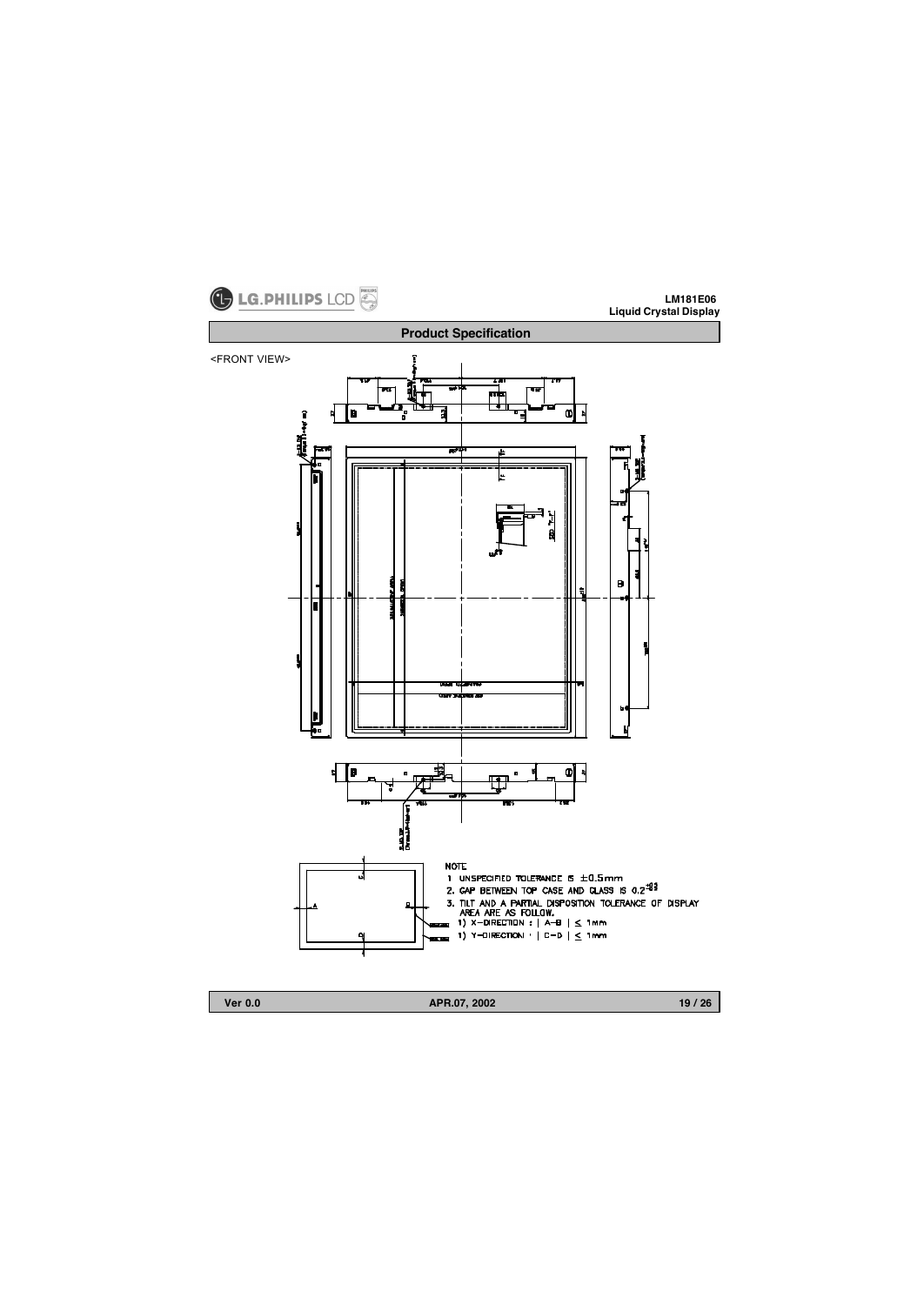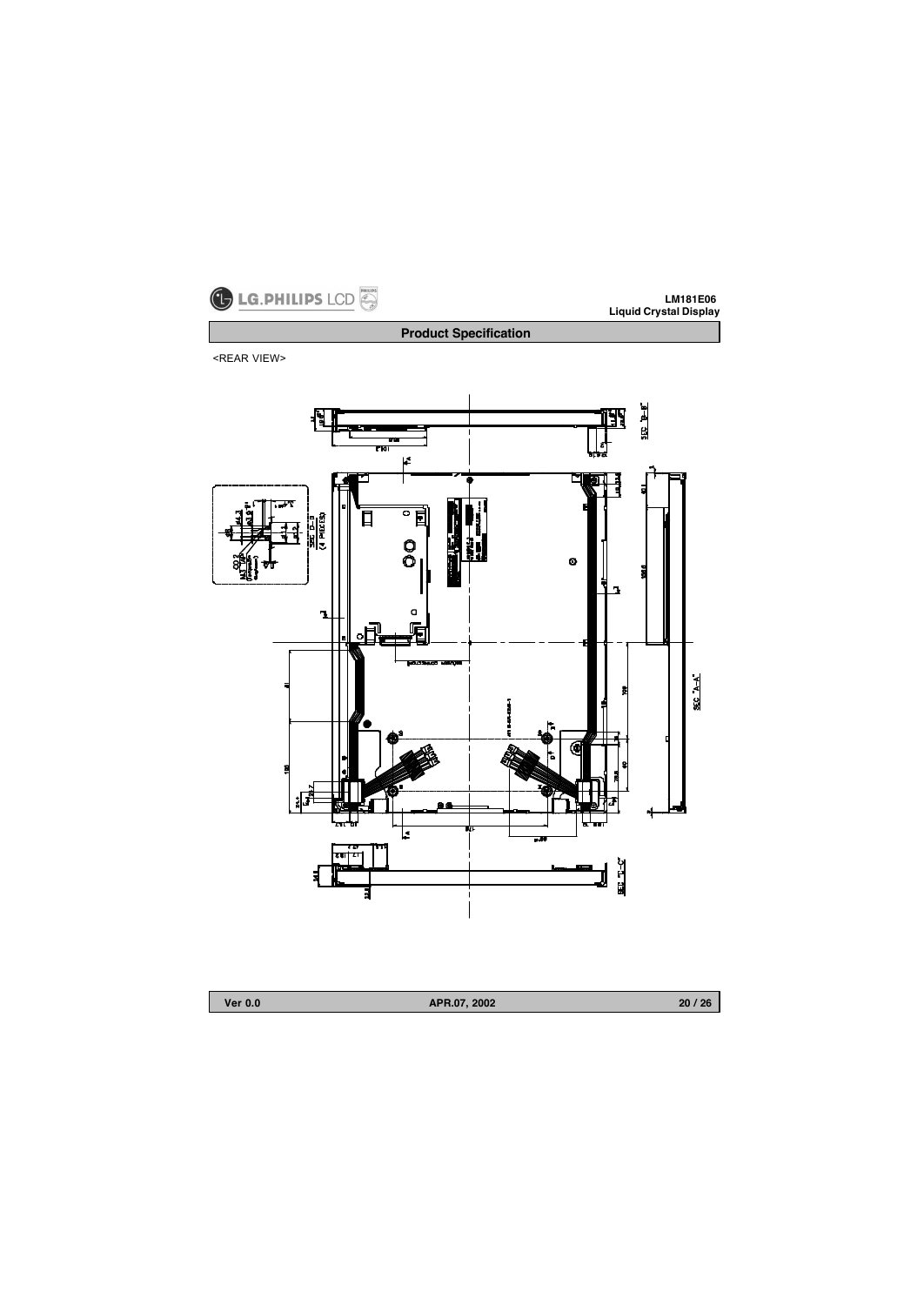

<REAR VIEW>



**Product Specification**

| Ver 0.0 |
|---------|
|---------|

**Ver 0.0 APR.07, 2002**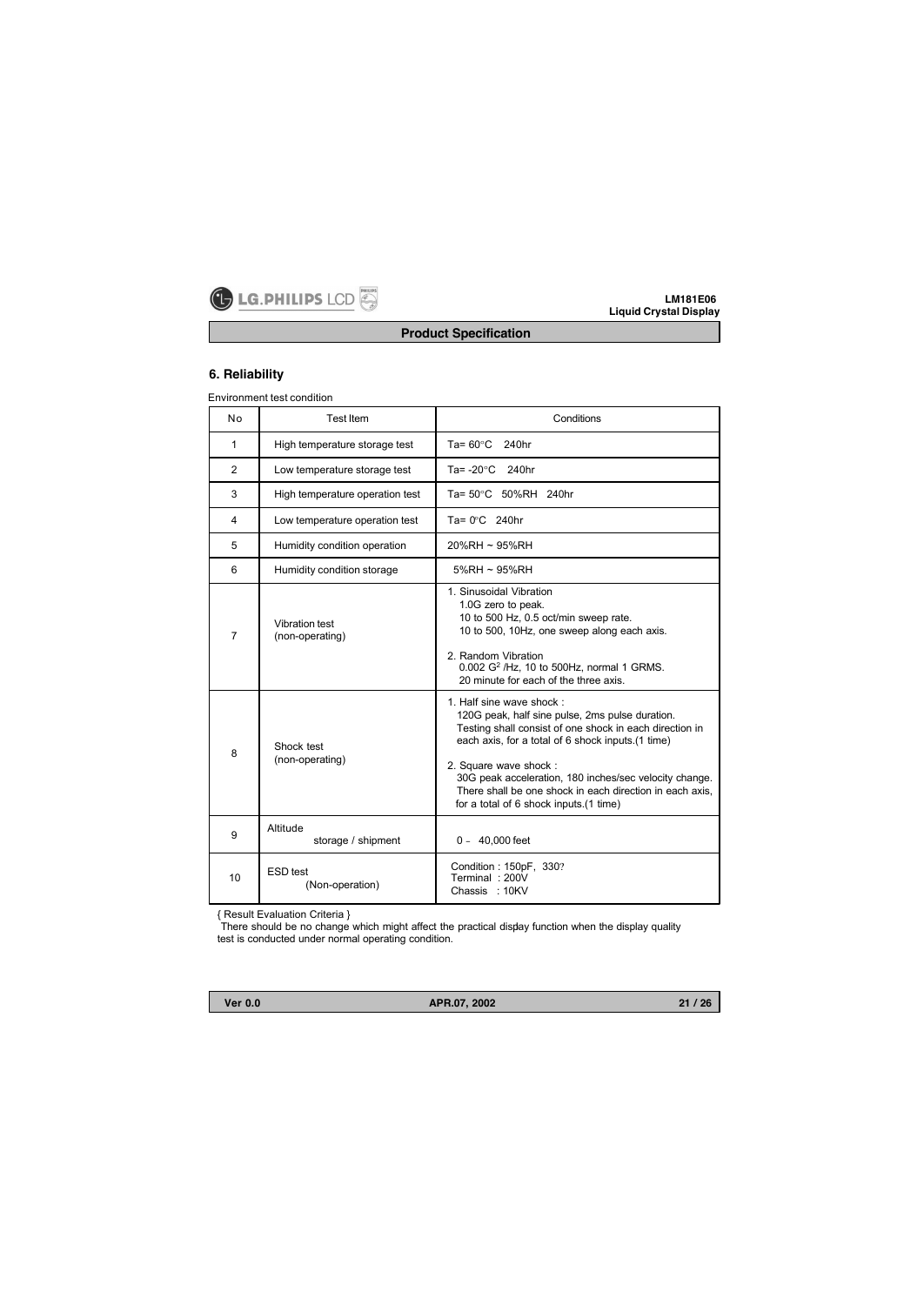

# **Product Specification**

# **6. Reliability**

Environment test condition

| No             | <b>Test Item</b>                   | Conditions                                                                                                                                                                                                                                                                                                                                                                            |  |  |
|----------------|------------------------------------|---------------------------------------------------------------------------------------------------------------------------------------------------------------------------------------------------------------------------------------------------------------------------------------------------------------------------------------------------------------------------------------|--|--|
| 1              | High temperature storage test      | Ta= $60^{\circ}$ C 240hr                                                                                                                                                                                                                                                                                                                                                              |  |  |
| $\overline{2}$ | Low temperature storage test       | 240hr<br>Ta= -20°C                                                                                                                                                                                                                                                                                                                                                                    |  |  |
| 3              | High temperature operation test    | Ta= 50°C 50%RH 240hr                                                                                                                                                                                                                                                                                                                                                                  |  |  |
| 4              | Low temperature operation test     | Ta= $0^{\circ}$ C 240hr                                                                                                                                                                                                                                                                                                                                                               |  |  |
| 5              | Humidity condition operation       | 20%RH ~ 95%RH                                                                                                                                                                                                                                                                                                                                                                         |  |  |
| 6              | Humidity condition storage         | 5%RH ~ 95%RH                                                                                                                                                                                                                                                                                                                                                                          |  |  |
| $\overline{7}$ | Vibration test<br>(non-operating)  | 1. Sinusoidal Vibration<br>1.0G zero to peak.<br>10 to 500 Hz, 0.5 oct/min sweep rate.<br>10 to 500, 10Hz, one sweep along each axis.<br>2. Random Vibration<br>0.002 G <sup>2</sup> /Hz, 10 to 500Hz, normal 1 GRMS.<br>20 minute for each of the three axis.                                                                                                                        |  |  |
| 8              | Shock test<br>(non-operating)      | 1. Half sine wave shock:<br>120G peak, half sine pulse, 2ms pulse duration.<br>Testing shall consist of one shock in each direction in<br>each axis, for a total of 6 shock inputs. (1 time)<br>2. Square wave shock:<br>30G peak acceleration, 180 inches/sec velocity change.<br>There shall be one shock in each direction in each axis.<br>for a total of 6 shock inputs.(1 time) |  |  |
| 9              | Altitude<br>storage / shipment     | $0 - 40,000$ feet                                                                                                                                                                                                                                                                                                                                                                     |  |  |
| 10             | <b>ESD</b> test<br>(Non-operation) | Condition: 150pF, 330?<br>Terminal: 200V<br>Chassis : 10KV                                                                                                                                                                                                                                                                                                                            |  |  |

{ Result Evaluation Criteria }

There should be no change which might affect the practical display function when the display quality test is conducted under normal operating condition.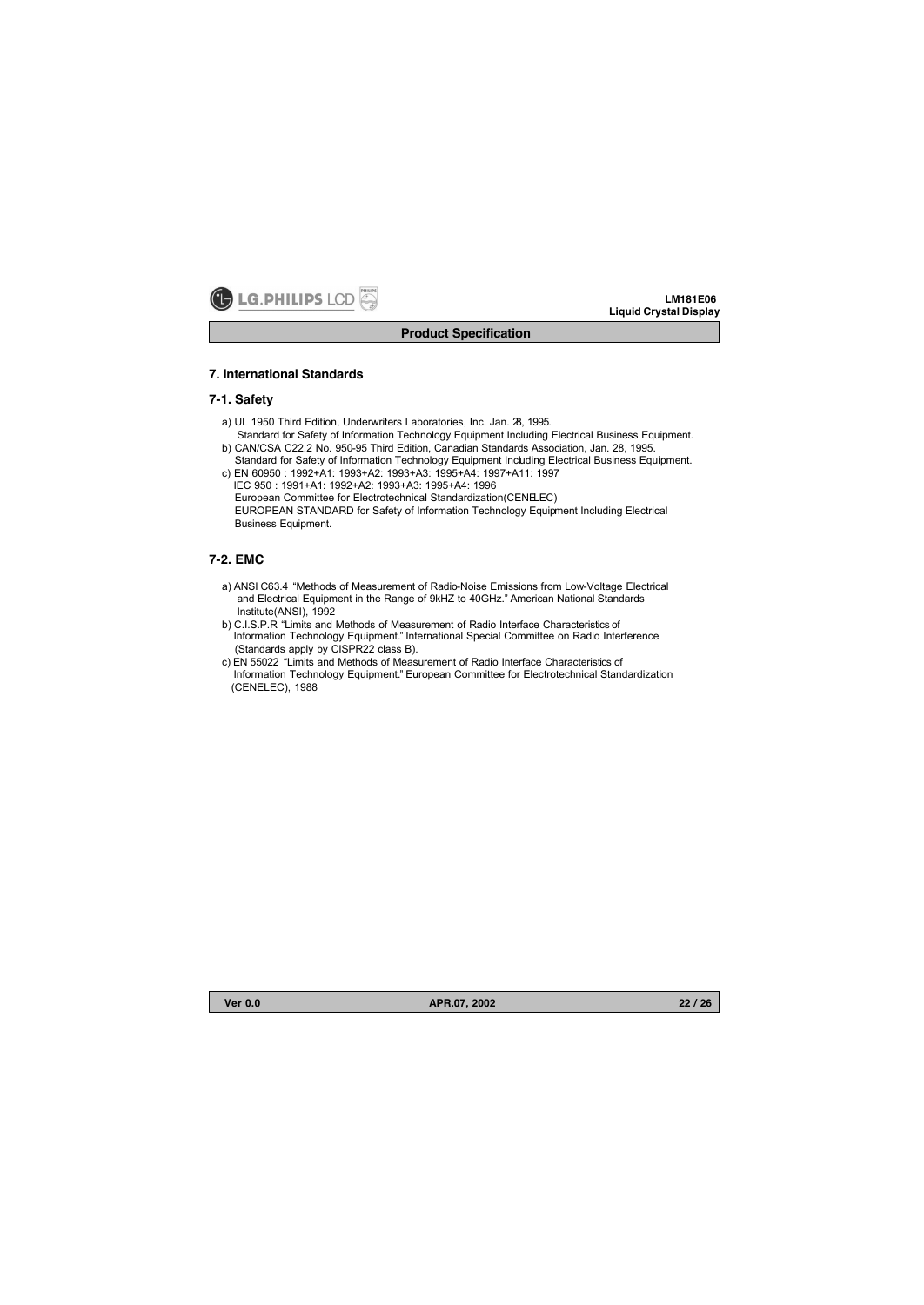

## **Product Specification**

## **7. International Standards**

## **7-1. Safety**

- a) UL 1950 Third Edition, Underwriters Laboratories, Inc. Jan. 28, 1995.
- Standard for Safety of Information Technology Equipment Including Electrical Business Equipment. b) CAN/CSA C22.2 No. 950-95 Third Edition, Canadian Standards Association, Jan. 28, 1995.
- Standard for Safety of Information Technology Equipment Including Electrical Business Equipment. c) EN 60950 : 1992+A1: 1993+A2: 1993+A3: 1995+A4: 1997+A11: 1997 IEC 950 : 1991+A1: 1992+A2: 1993+A3: 1995+A4: 1996
	- European Committee for Electrotechnical Standardization(CENELEC) EUROPEAN STANDARD for Safety of Information Technology Equipment Including Electrical Business Equipment.

# **7-2. EMC**

- a) ANSI C63.4 "Methods of Measurement of Radio-Noise Emissions from Low-Voltage Electrical and Electrical Equipment in the Range of 9kHZ to 40GHz." American National Standards Institute(ANSI), 1992
- b) C.I.S.P.R "Limits and Methods of Measurement of Radio Interface Characteristics of Information Technology Equipment." International Special Committee on Radio Interference (Standards apply by CISPR22 class B).
- c) EN 55022 "Limits and Methods of Measurement of Radio Interface Characteristics of Information Technology Equipment." European Committee for Electrotechnical Standardization (CENELEC), 1988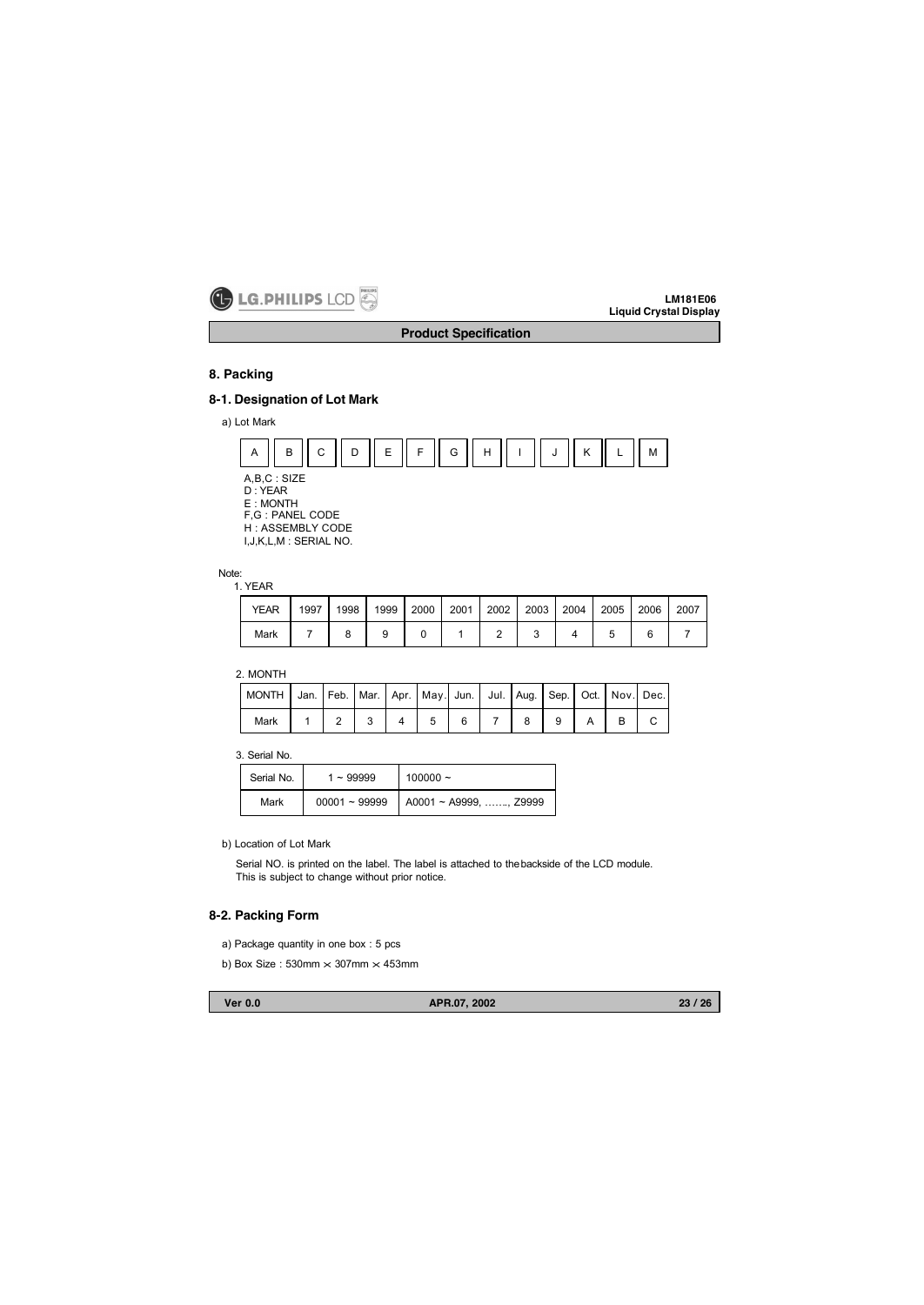

**Product Specification**

# **8. Packing**

# **8-1. Designation of Lot Mark**

a) Lot Mark



Note:

1. YEAR

| <b>YEAR</b> | 1997 | 1998 | 1999 |  | 2000   2001   2002   2003   2004 |  | 2005 2006 | 2007 |
|-------------|------|------|------|--|----------------------------------|--|-----------|------|
| Mark        |      |      |      |  |                                  |  |           |      |

2. MONTH

| MONTH   Jan.   Feb.   Mar.   Apr.   May.  Jun.   Jul.   Aug.   Sep.   Oct.   Nov.  Dec. |  |  |              |  |  |  |  |
|-----------------------------------------------------------------------------------------|--|--|--------------|--|--|--|--|
| Mark                                                                                    |  |  | 1234456789A8 |  |  |  |  |

3. Serial No.

| Serial No. | $1 - 99999$     | $100000 -$                     |
|------------|-----------------|--------------------------------|
| Mark       | $00001 - 99999$ | $\vert$ A0001 ~ A9999, , Z9999 |

b) Location of Lot Mark

Serial NO. is printed on the label. The label is attached to thebackside of the LCD module. This is subject to change without prior notice.

# **8-2. Packing Form**

- a) Package quantity in one box : 5 pcs
- b) Box Size : 530mm  $\times$  307mm  $\times$  453mm

**Ver 0.0 APR.07, 2002**

**23 / 26**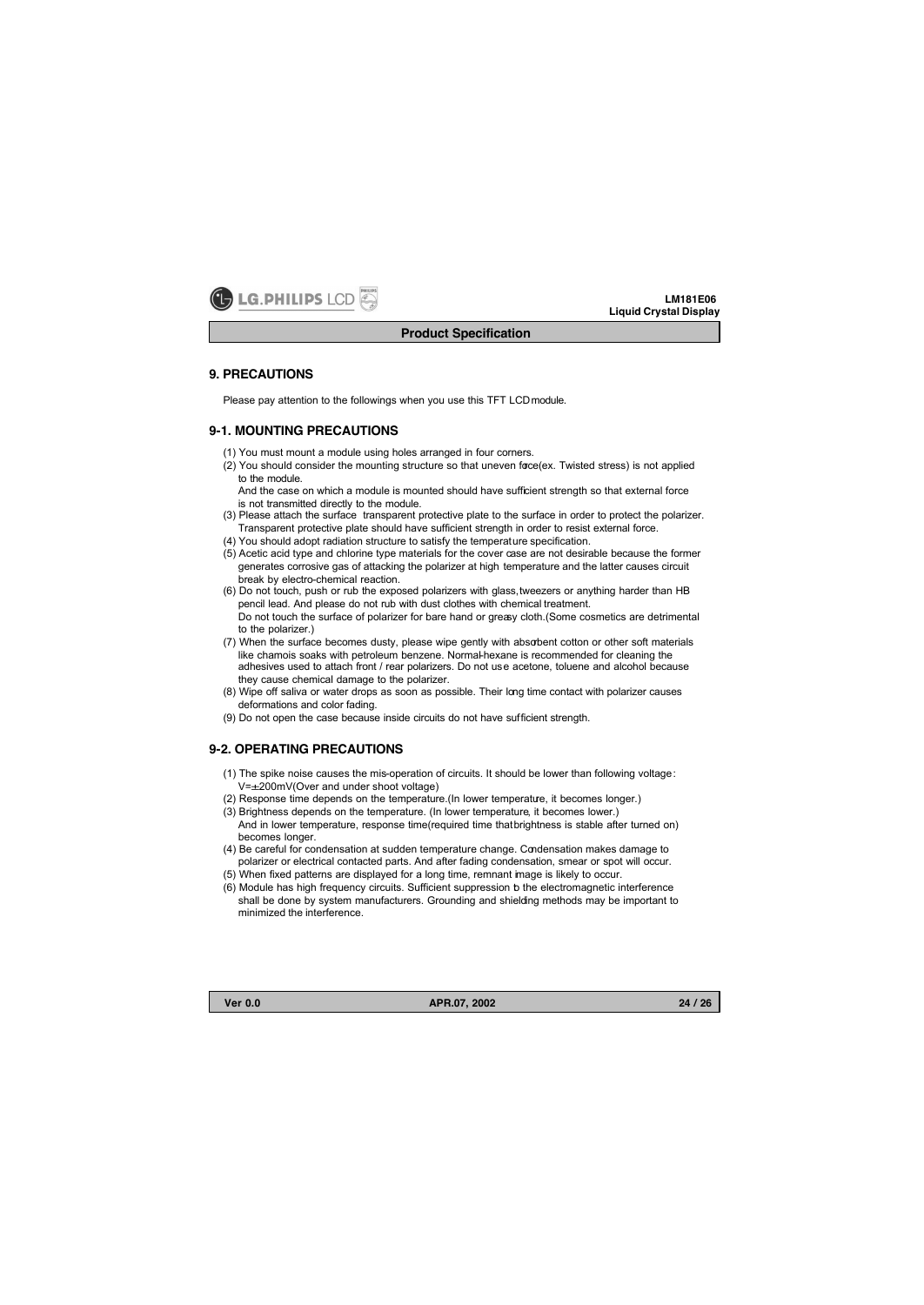

#### **9. PRECAUTIONS**

Please pay attention to the followings when you use this TFT LCDmodule.

## **9-1. MOUNTING PRECAUTIONS**

- (1) You must mount a module using holes arranged in four corners.
- (2) You should consider the mounting structure so that uneven force(ex. Twisted stress) is not applied to the module.

And the case on which a module is mounted should have sufficient strength so that external force is not transmitted directly to the module.

- (3) Please attach the surface transparent protective plate to the surface in order to protect the polarizer. Transparent protective plate should have sufficient strength in order to resist external force.
- (4) You should adopt radiation structure to satisfy the temperature specification.
- (5) Acetic acid type and chlorine type materials for the cover case are not desirable because the former generates corrosive gas of attacking the polarizer at high temperature and the latter causes circuit break by electro-chemical reaction.
- (6) Do not touch, push or rub the exposed polarizers with glass,tweezers or anything harder than HB pencil lead. And please do not rub with dust clothes with chemical treatment. Do not touch the surface of polarizer for bare hand or greasy cloth.(Some cosmetics are detrimental to the polarizer.)
- (7) When the surface becomes dusty, please wipe gently with absorbent cotton or other soft materials like chamois soaks with petroleum benzene. Normal-hexane is recommended for cleaning the adhesives used to attach front / rear polarizers. Do not use acetone, toluene and alcohol because they cause chemical damage to the polarizer.
- (8) Wipe off saliva or water drops as soon as possible. Their long time contact with polarizer causes deformations and color fading.
- (9) Do not open the case because inside circuits do not have sufficient strength.

## **9-2. OPERATING PRECAUTIONS**

- (1) The spike noise causes the mis-operation of circuits. It should be lower than following voltage: V=±200mV(Over and under shoot voltage)
- (2) Response time depends on the temperature.(In lower temperature, it becomes longer.)
- (3) Brightness depends on the temperature. (In lower temperature, it becomes lower.) And in lower temperature, response time(required time that brightness is stable after turned on) becomes longer.
- (4) Be careful for condensation at sudden temperature change. Condensation makes damage to polarizer or electrical contacted parts. And after fading condensation, smear or spot will occur.
- (5) When fixed patterns are displayed for a long time, remnant image is likely to occur.
- (6) Module has high frequency circuits. Sufficient suppression to the electromagnetic interference shall be done by system manufacturers. Grounding and shielding methods may be important to minimized the interference.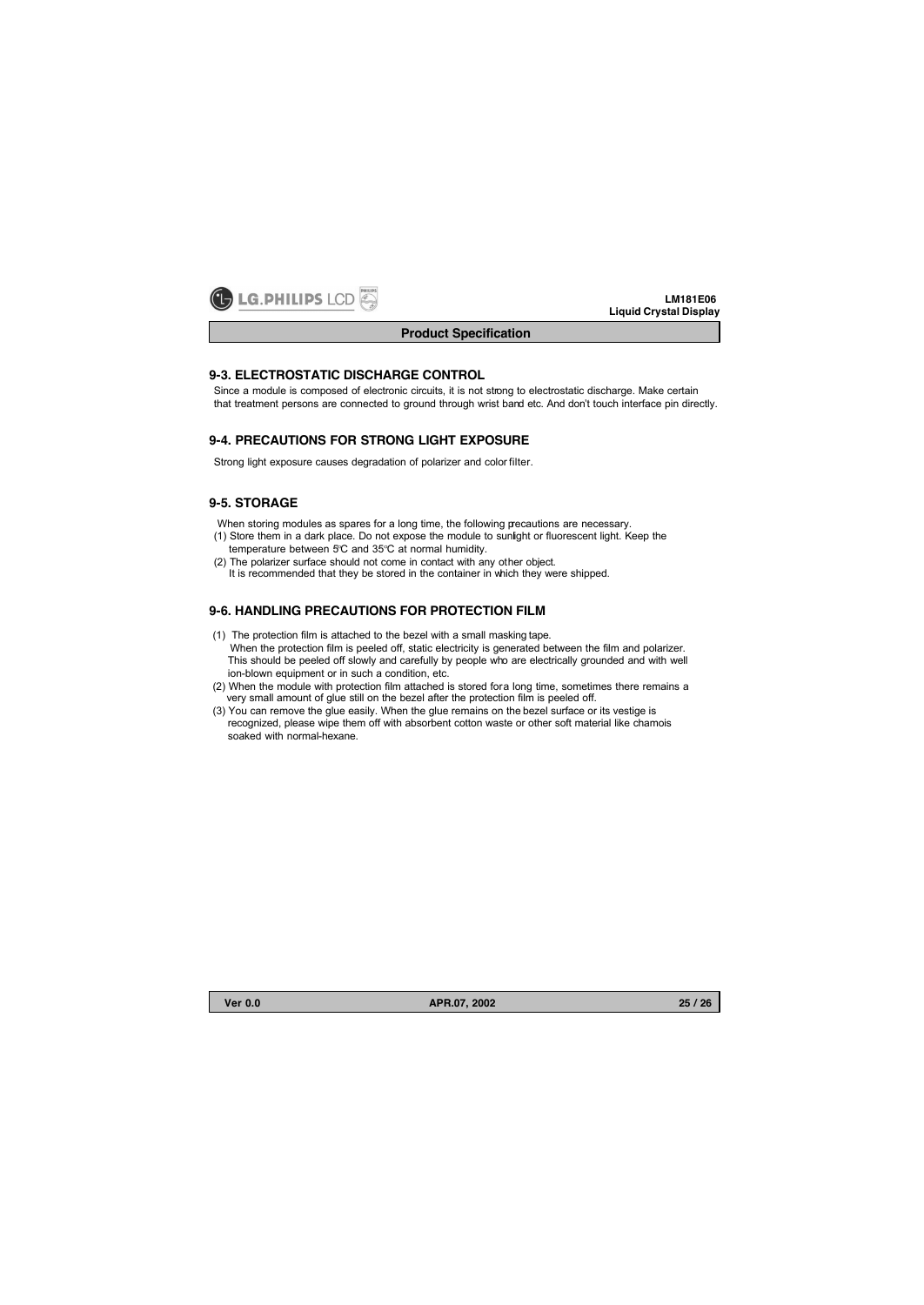

# **9-3. ELECTROSTATIC DISCHARGE CONTROL**

Since a module is composed of electronic circuits, it is not strong to electrostatic discharge. Make certain that treatment persons are connected to ground through wrist band etc. And don't touch interface pin directly.

## **9-4. PRECAUTIONS FOR STRONG LIGHT EXPOSURE**

Strong light exposure causes degradation of polarizer and color filter.

## **9-5. STORAGE**

When storing modules as spares for a long time, the following pecautions are necessary.

- (1) Store them in a dark place. Do not expose the module to sunlight or fluorescent light. Keep the temperature between 5°C and 35°C at normal humidity.
- (2) The polarizer surface should not come in contact with any other object. It is recommended that they be stored in the container in which they were shipped.

# **9-6. HANDLING PRECAUTIONS FOR PROTECTION FILM**

- (1) The protection film is attached to the bezel with a small masking tape. When the protection film is peeled off, static electricity is generated between the film and polarizer. This should be peeled off slowly and carefully by people who are electrically grounded and with well ion-blown equipment or in such a condition, etc.
- (2) When the module with protection film attached is stored for a long time, sometimes there remains a very small amount of glue still on the bezel after the protection film is peeled off.
- (3) You can remove the glue easily. When the glue remains on the bezel surface or its vestige is recognized, please wipe them off with absorbent cotton waste or other soft material like chamois soaked with normal-hexane.